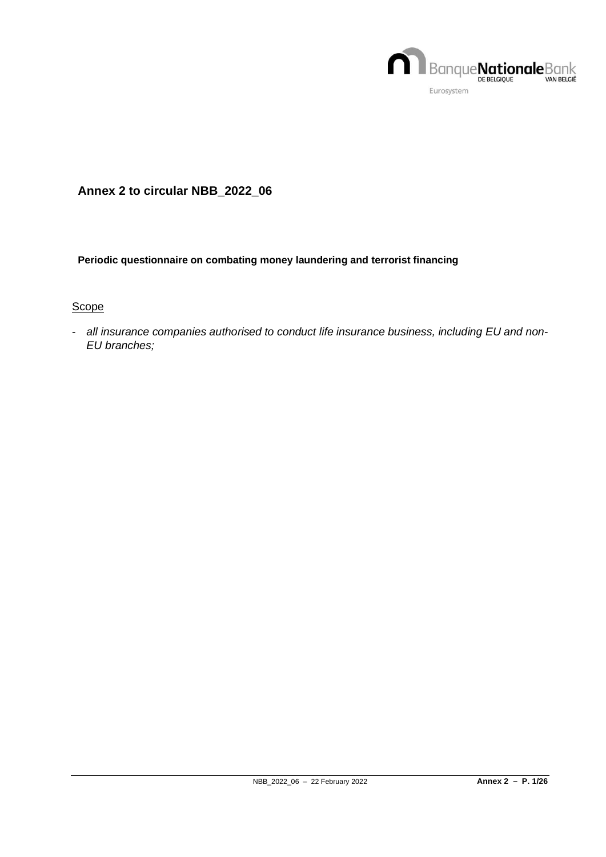

# **Annex 2 to circular NBB\_2022\_06**

#### **Periodic questionnaire on combating money laundering and terrorist financing**

#### **Scope**

- *all insurance companies authorised to conduct life insurance business, including EU and non-EU branches;*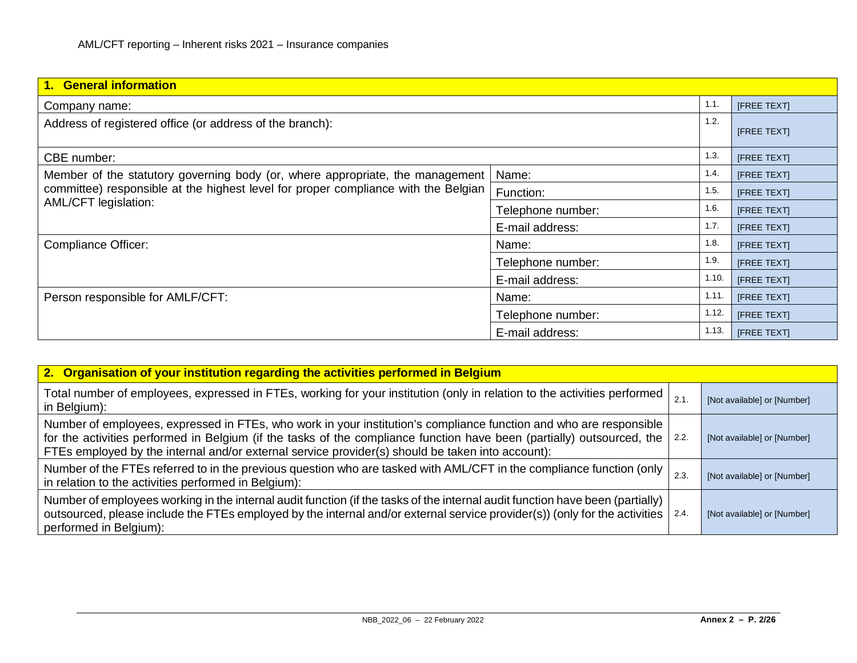| 1. General information                                                             |                   |             |                    |  |  |  |  |
|------------------------------------------------------------------------------------|-------------------|-------------|--------------------|--|--|--|--|
| Company name:                                                                      |                   | 1.1.        | [FREE TEXT]        |  |  |  |  |
| Address of registered office (or address of the branch):                           | 1.2.              | [FREE TEXT] |                    |  |  |  |  |
| CBE number:                                                                        |                   | 1.3.        | [FREE TEXT]        |  |  |  |  |
| Member of the statutory governing body (or, where appropriate, the management      | Name:             | 1.4.        | <b>IFREE TEXTI</b> |  |  |  |  |
| committee) responsible at the highest level for proper compliance with the Belgian | Function:         | 1.5.        | <b>IFREE TEXTI</b> |  |  |  |  |
| AML/CFT legislation:                                                               | Telephone number: | 1.6.        | [FREE TEXT]        |  |  |  |  |
|                                                                                    | E-mail address:   | 1.7.        | [FREE TEXT]        |  |  |  |  |
| Compliance Officer:                                                                | Name:             | 1.8.        | <b>IFREE TEXTI</b> |  |  |  |  |
|                                                                                    | Telephone number: | 1.9.        | <b>IFREE TEXTI</b> |  |  |  |  |
|                                                                                    | E-mail address:   | 1.10.       | <b>IFREE TEXTI</b> |  |  |  |  |
| Person responsible for AMLF/CFT:                                                   | Name:             | 1.11.       | [FREE TEXT]        |  |  |  |  |
|                                                                                    | Telephone number: | 1.12.       | [FREE TEXT]        |  |  |  |  |
|                                                                                    | E-mail address:   | 1.13.       | <b>IFREE TEXTI</b> |  |  |  |  |

| 2. Organisation of your institution regarding the activities performed in Belgium                                                                                                                                                                                                                                                                |      |                             |  |  |  |  |  |  |
|--------------------------------------------------------------------------------------------------------------------------------------------------------------------------------------------------------------------------------------------------------------------------------------------------------------------------------------------------|------|-----------------------------|--|--|--|--|--|--|
| Total number of employees, expressed in FTEs, working for your institution (only in relation to the activities performed<br>in Belgium):                                                                                                                                                                                                         | 2.1  | [Not available] or [Number] |  |  |  |  |  |  |
| Number of employees, expressed in FTEs, who work in your institution's compliance function and who are responsible<br>for the activities performed in Belgium (if the tasks of the compliance function have been (partially) outsourced, the<br>FTEs employed by the internal and/or external service provider(s) should be taken into account): | 2.2. | [Not available] or [Number] |  |  |  |  |  |  |
| Number of the FTEs referred to in the previous question who are tasked with AML/CFT in the compliance function (only<br>in relation to the activities performed in Belgium):                                                                                                                                                                     | 2.3  | [Not available] or [Number] |  |  |  |  |  |  |
| Number of employees working in the internal audit function (if the tasks of the internal audit function have been (partially)<br>outsourced, please include the FTEs employed by the internal and/or external service provider(s)) (only for the activities<br>performed in Belgium):                                                            | 2.4. | [Not available] or [Number] |  |  |  |  |  |  |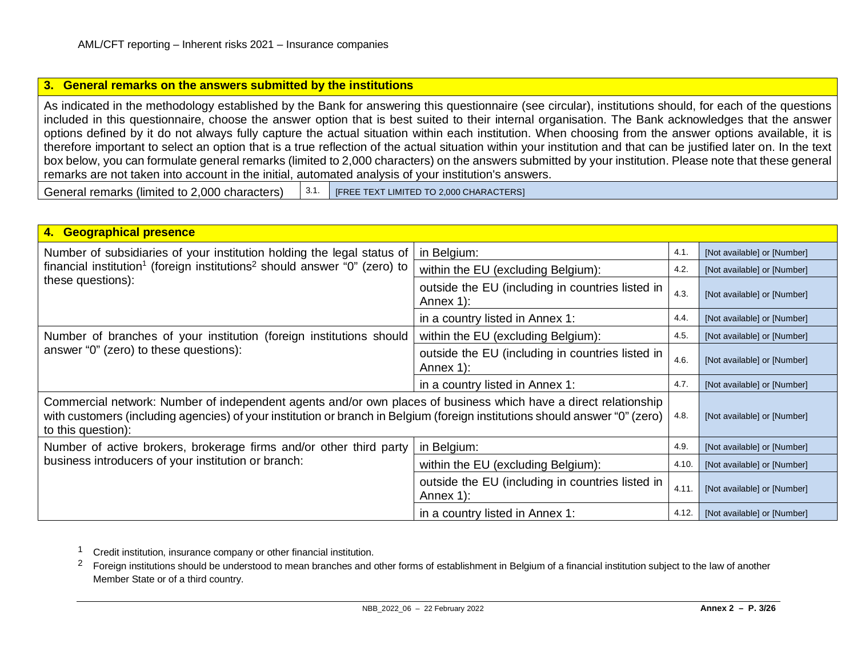#### <span id="page-2-1"></span><span id="page-2-0"></span>**3. General remarks on the answers submitted by the institutions**

As indicated in the methodology established by the Bank for answering this questionnaire (see circular), institutions should, for each of the questions included in this questionnaire, choose the answer option that is best suited to their internal organisation. The Bank acknowledges that the answer options defined by it do not always fully capture the actual situation within each institution. When choosing from the answer options available, it is therefore important to select an option that is a true reflection of the actual situation within your institution and that can be justified later on. In the text box below, you can formulate general remarks (limited to 2,000 characters) on the answers submitted by your institution. Please note that these general remarks are not taken into account in the initial, automated analysis of your institution's answers.

General remarks (limited to 2,000 characters)  $\begin{bmatrix} 3.1. \end{bmatrix}$  [FREE TEXT LIMITED TO 2,000 CHARACTERS]

| 4. Geographical presence                                                                                                                                                                                                                                             |                                                                       |       |                             |
|----------------------------------------------------------------------------------------------------------------------------------------------------------------------------------------------------------------------------------------------------------------------|-----------------------------------------------------------------------|-------|-----------------------------|
| Number of subsidiaries of your institution holding the legal status of                                                                                                                                                                                               | in Belgium:                                                           | 4.1.  | [Not available] or [Number] |
| financial institution <sup>1</sup> (foreign institutions <sup>2</sup> should answer "0" (zero) to                                                                                                                                                                    | within the EU (excluding Belgium):                                    | 4.2.  | [Not available] or [Number] |
| these questions):                                                                                                                                                                                                                                                    | outside the EU (including in countries listed in<br>4.3.<br>Annex 1): |       | [Not available] or [Number] |
|                                                                                                                                                                                                                                                                      | in a country listed in Annex 1:                                       | 4.4.  | [Not available] or [Number] |
| Number of branches of your institution (foreign institutions should                                                                                                                                                                                                  | within the EU (excluding Belgium):                                    | 4.5.  | [Not available] or [Number] |
| answer "0" (zero) to these questions):                                                                                                                                                                                                                               | outside the EU (including in countries listed in<br>Annex 1):         |       | [Not available] or [Number] |
|                                                                                                                                                                                                                                                                      | in a country listed in Annex 1:                                       | 4.7.  | [Not available] or [Number] |
| Commercial network: Number of independent agents and/or own places of business which have a direct relationship<br>with customers (including agencies) of your institution or branch in Belgium (foreign institutions should answer "0" (zero)<br>to this question): |                                                                       | 4.8.  | [Not available] or [Number] |
| Number of active brokers, brokerage firms and/or other third party                                                                                                                                                                                                   | in Belgium:                                                           | 4.9.  | [Not available] or [Number] |
| business introducers of your institution or branch:                                                                                                                                                                                                                  | within the EU (excluding Belgium):                                    | 4.10  | [Not available] or [Number] |
|                                                                                                                                                                                                                                                                      | outside the EU (including in countries listed in<br>Annex 1):         | 4.11  | [Not available] or [Number] |
|                                                                                                                                                                                                                                                                      | in a country listed in Annex 1:                                       | 4.12. | [Not available] or [Number] |

1 Credit institution, insurance company or other financial institution.

<sup>2</sup> Foreign institutions should be understood to mean branches and other forms of establishment in Belgium of a financial institution subject to the law of another Member State or of a third country.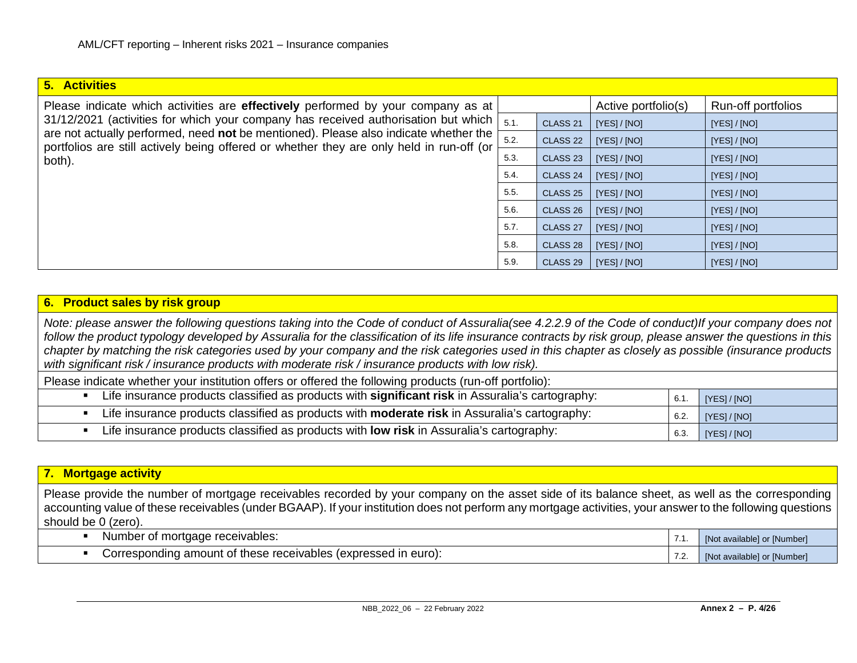#### **5. Activities**

| Please indicate which activities are <b>effectively</b> performed by your company as at                                                                                                   |      |                     | Active portfolio(s) | <b>Run-off portfolios</b> |
|-------------------------------------------------------------------------------------------------------------------------------------------------------------------------------------------|------|---------------------|---------------------|---------------------------|
| 31/12/2021 (activities for which your company has received authorisation but which $\vert$ 5.1.                                                                                           |      | CLASS <sub>21</sub> | [YES] / [NO]        | [YES] / [NO]              |
| are not actually performed, need not be mentioned). Please also indicate whether the<br>portfolios are still actively being offered or whether they are only held in run-off (or $\vdash$ | 5.2. | CLASS <sub>22</sub> | [YES] / [NO]        | [YES]/[NO]                |
| both).                                                                                                                                                                                    | 5.3. | CLASS <sub>23</sub> | [YES] / [NO]        | [YES] / [NO]              |
|                                                                                                                                                                                           | 5.4. | CLASS 24 $\vert$    | [YES] / [NO]        | [YES]/[NO]                |

|         |      |                     | $1 - 5 - 1$  | $\mathbf{1} \cdot \mathbf{1} \cdot \mathbf{1} \cdot \mathbf{1} \cdot \mathbf{1}$ |
|---------|------|---------------------|--------------|----------------------------------------------------------------------------------|
| e<br>۱r | 5.2. | CLASS <sub>22</sub> | [YES] / [NO] | [YES]/[NO]                                                                       |
|         | 5.3. | CLASS <sub>23</sub> | [YES] / [NO] | [YES]/[NO]                                                                       |
|         | 5.4. | CLASS <sub>24</sub> | [YES] / [NO] | [YES]/[NO]                                                                       |
|         | 5.5. | CLASS <sub>25</sub> | [YES] / [NO] | [YES]/[NO]                                                                       |
|         | 5.6. | CLASS <sub>26</sub> | [YES] / [NO] | [YES]/[NO]                                                                       |
|         | 5.7. | CLASS <sub>27</sub> | [YES] / [NO] | [YES]/[NO]                                                                       |
|         | 5.8. | CLASS <sub>28</sub> | [YES] / [NO] | [YES] / [NO]                                                                     |
|         | 5.9. | CLASS <sub>29</sub> | [YES] / [NO] | [YES] / [NO]                                                                     |

#### **6. Product sales by risk group**

*Note: please answer the following questions taking into the Code of conduct of Assuralia(see 4.2.2.9 of the Code of conduct)If your company does not follow the product typology developed by Assuralia for the classification of its life insurance contracts by risk group, please answer the questions in this chapter by matching the risk categories used by your company and the risk categories used in this chapter as closely as possible (insurance products with significant risk / insurance products with moderate risk / insurance products with low risk).*

Please indicate whether your institution offers or offered the following products (run-off portfolio):

| Life insurance products classified as products with <b>significant risk</b> in Assuralia's cartography: | 6.1. | [YES]/[NO] |
|---------------------------------------------------------------------------------------------------------|------|------------|
| Life insurance products classified as products with <b>moderate risk</b> in Assuralia's cartography:    | 6.2. | [YES]/[NO] |
| Life insurance products classified as products with <b>low risk</b> in Assuralia's cartography:         | 6.3. | [YES]/[NO] |

### **7. Mortgage activity**

Please provide the number of mortgage receivables recorded by your company on the asset side of its balance sheet, as well as the corresponding accounting value of these receivables (under BGAAP). If your institution does not perform any mortgage activities, your answer to the following questions should be 0 (zero).

| Number of mortgage receivables:                                | . | [Not available] or [Number] |
|----------------------------------------------------------------|---|-----------------------------|
| Corresponding amount of these receivables (expressed in euro): |   | [Not available] or [Number] |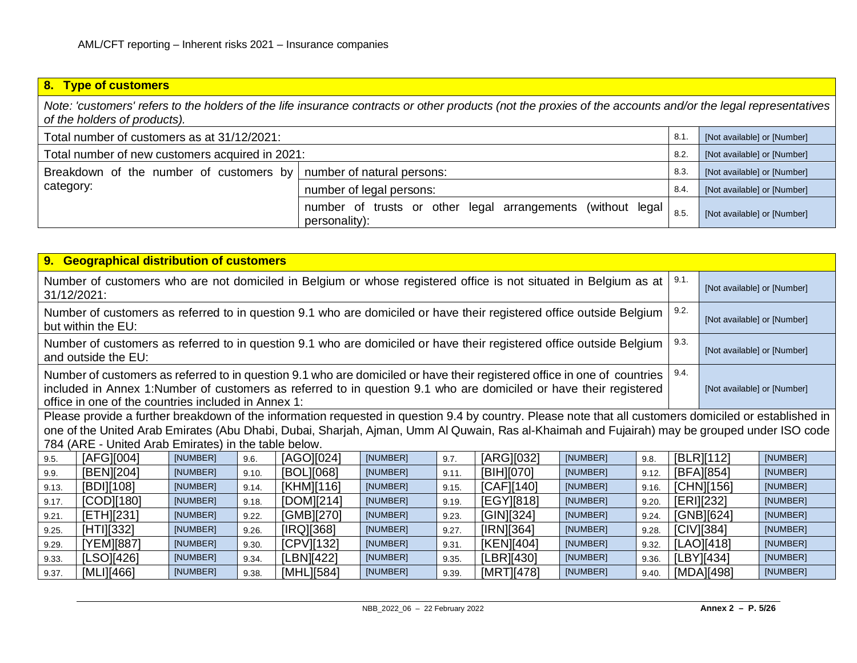## **8. Type of customers**

*Note: 'customers' refers to the holders of the life insurance contracts or other products (not the proxies of the accounts and/or the legal representatives of the holders of products).*

| Total number of customers as at 31/12/2021:                                     | 8.1                                                                           | [Not available] or [Number] |                             |
|---------------------------------------------------------------------------------|-------------------------------------------------------------------------------|-----------------------------|-----------------------------|
| Total number of new customers acquired in 2021:                                 | 8.2.                                                                          | [Not available] or [Number] |                             |
| Breakdown of the number of customers by number of natural persons:<br>category: |                                                                               | 8.3                         | [Not available] or [Number] |
|                                                                                 | number of legal persons:                                                      | 8.4                         | [Not available] or [Number] |
|                                                                                 | number of trusts or other legal arrangements (without legal)<br>personality): | 8.5                         | [Not available] or [Number] |

| 9. Geographical distribution of customers                                                                                                                                                                                                                                                            |                                                                                                                                                                                                      |          |       |            |          |       |            |          |       |                             |                             |          |
|------------------------------------------------------------------------------------------------------------------------------------------------------------------------------------------------------------------------------------------------------------------------------------------------------|------------------------------------------------------------------------------------------------------------------------------------------------------------------------------------------------------|----------|-------|------------|----------|-------|------------|----------|-------|-----------------------------|-----------------------------|----------|
| Number of customers who are not domiciled in Belgium or whose registered office is not situated in Belgium as at<br>31/12/2021:                                                                                                                                                                      |                                                                                                                                                                                                      |          |       |            |          |       |            |          |       | 9.1.                        | [Not available] or [Number] |          |
| Number of customers as referred to in question 9.1 who are domiciled or have their registered office outside Belgium<br>but within the EU:                                                                                                                                                           |                                                                                                                                                                                                      |          |       |            |          |       |            |          |       | 9.2.                        | [Not available] or [Number] |          |
| Number of customers as referred to in question 9.1 who are domiciled or have their registered office outside Belgium<br>and outside the EU:                                                                                                                                                          |                                                                                                                                                                                                      |          |       |            |          |       |            |          | 9.3.  | [Not available] or [Number] |                             |          |
| Number of customers as referred to in question 9.1 who are domiciled or have their registered office in one of countries<br>included in Annex 1:Number of customers as referred to in question 9.1 who are domiciled or have their registered<br>office in one of the countries included in Annex 1: |                                                                                                                                                                                                      |          |       |            |          |       |            |          | 9.4.  | [Not available] or [Number] |                             |          |
| Please provide a further breakdown of the information requested in question 9.4 by country. Please note that all customers domiciled or established in                                                                                                                                               |                                                                                                                                                                                                      |          |       |            |          |       |            |          |       |                             |                             |          |
|                                                                                                                                                                                                                                                                                                      | one of the United Arab Emirates (Abu Dhabi, Dubai, Sharjah, Ajman, Umm Al Quwain, Ras al-Khaimah and Fujairah) may be grouped under ISO code<br>784 (ARE - United Arab Emirates) in the table below. |          |       |            |          |       |            |          |       |                             |                             |          |
| 9.5.                                                                                                                                                                                                                                                                                                 | [AFG][004]                                                                                                                                                                                           | [NUMBER] | 9.6.  | [AGO][024] | [NUMBER] | 9.7.  | [ARG][032] | [NUMBER] | 9.8.  |                             | [BLR][112]                  | [NUMBER] |
| 9.9.                                                                                                                                                                                                                                                                                                 | [BEN][204]                                                                                                                                                                                           | [NUMBER] | 9.10. | [BOL][068] | [NUMBER] | 9.11. | [BIH][070] | [NUMBER] | 9.12. |                             | [BFA][854]                  | [NUMBER] |
| 9.13.                                                                                                                                                                                                                                                                                                | [BDI][108]                                                                                                                                                                                           | [NUMBER] | 9.14. | [KHM][116] | [NUMBER] | 9.15. | [CAF][140] | [NUMBER] | 9.16. |                             | [CHN][156]                  | [NUMBER] |
| 9.17.                                                                                                                                                                                                                                                                                                | [COD][180]                                                                                                                                                                                           | [NUMBER] | 9.18. | [DOM][214] | [NUMBER] | 9.19. | [EGY][818] | [NUMBER] | 9.20. |                             | [ERI][232]                  | [NUMBER] |
| 9.21.                                                                                                                                                                                                                                                                                                | [ETH][231]                                                                                                                                                                                           | [NUMBER] | 9.22. | [GMB][270] | [NUMBER] | 9.23. | [GIN][324] | [NUMBER] | 9.24. |                             | [GNB][624]                  | [NUMBER] |
| 9.25.                                                                                                                                                                                                                                                                                                | [HTI][332]                                                                                                                                                                                           | [NUMBER] | 9.26. | [IRQ][368] | [NUMBER] | 9.27. | [IRN][364] | [NUMBER] | 9.28. |                             | [CIV][384]                  | [NUMBER] |
| 9.29.                                                                                                                                                                                                                                                                                                | [YEM][887]                                                                                                                                                                                           | [NUMBER] | 9.30. | [CPV][132] | [NUMBER] | 9.31. | [KEN][404] | [NUMBER] | 9.32. |                             | [LAO][418]                  | [NUMBER] |
| 9.33.                                                                                                                                                                                                                                                                                                | [LSO][426]                                                                                                                                                                                           | [NUMBER] | 9.34. | [LBN][422] | [NUMBER] | 9.35. | [LBR][430] | [NUMBER] | 9.36. |                             | [LBY][434]                  | [NUMBER] |
| 9.37.                                                                                                                                                                                                                                                                                                | [MLI][466]                                                                                                                                                                                           | [NUMBER] | 9.38. | [MHL][584] | [NUMBER] | 9.39. | [MRT][478] | [NUMBER] | 9.40. |                             | [MDA][498]                  | [NUMBER] |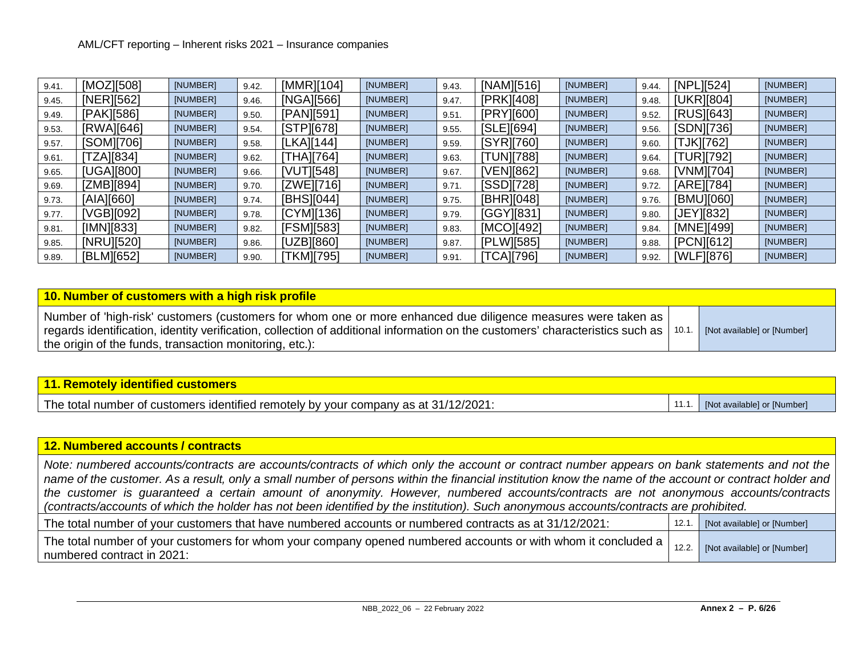| 9.41. | [MOZ][508] | [NUMBER] | 9.42. | [MMR][104] | [NUMBER] | 9.43. | [NAM][516] | [NUMBER] | 9.44. | [NPL][524]        | [NUMBER] |
|-------|------------|----------|-------|------------|----------|-------|------------|----------|-------|-------------------|----------|
| 9.45. | [NER][562] | [NUMBER] | 9.46. | [NGA][566] | [NUMBER] | 9.47. | [PRK][408] | [NUMBER] | 9.48. | [UKR][804]        | [NUMBER] |
| 9.49. | [PAK][586] | [NUMBER] | 9.50. | [PAN][591] | [NUMBER] | 9.51  | [PRY][600] | [NUMBER] | 9.52. | [RUS][643]        | [NUMBER] |
| 9.53. | [RWA][646] | [NUMBER] | 9.54. | [STPI[678] | [NUMBER] | 9.55. | [SLE][694] | [NUMBER] | 9.56. | [SDN][736]        | [NUMBER] |
| 9.57. | [SOM][706] | [NUMBER] | 9.58. | [LKA][144] | [NUMBER] | 9.59. | [SYR][760] | [NUMBER] | 9.60. | [TJK][762]        | [NUMBER] |
| 9.61. | TZA][834]  | [NUMBER] | 9.62. | [THA][764] | [NUMBER] | 9.63. | [TUN][788] | [NUMBER] | 9.64. | <b>[TUR][792]</b> | [NUMBER] |
| 9.65. | [UGA][800] | [NUMBER] | 9.66. | [VUT][548] | [NUMBER] | 9.67. | [VEN][862] | [NUMBER] | 9.68. | [VNM][704]        | [NUMBER] |
| 9.69. | [ZMB][894] | [NUMBER] | 9.70. | [ZWE][716] | [NUMBER] | 9.71. | [SSD][728] | [NUMBER] | 9.72. | [ARE][784]        | [NUMBER] |
| 9.73. | [AIA][660] | [NUMBER] | 9.74. | [BHS][044] | [NUMBER] | 9.75. | [BHR][048] | [NUMBER] | 9.76. | [BMU][060]        | [NUMBER] |
| 9.77. | [VGB][092] | [NUMBER] | 9.78. | [CYM][136] | [NUMBER] | 9.79. | [GGY][831] | [NUMBER] | 9.80. | [JEY][832]        | [NUMBER] |
| 9.81. | [IMN][833] | [NUMBER] | 9.82. | [FSM][583] | [NUMBER] | 9.83. | [MCO][492] | [NUMBER] | 9.84. | [MNE][499]        | [NUMBER] |
| 9.85. | [NRU][520] | [NUMBER] | 9.86. | [UZB][860] | [NUMBER] | 9.87. | [PLW][585] | [NUMBER] | 9.88. | [PCN][612]        | [NUMBER] |
| 9.89. | [BLM][652] | [NUMBER] | 9.90. | [TKM][795] | [NUMBER] | 9.91  | [TCA][796] | [NUMBER] | 9.92. | [WLF][876]        | [NUMBER] |

| 10. Number of customers with a high risk profile                                                                                                                                                                                                                                                                  |  |                             |  |  |  |  |
|-------------------------------------------------------------------------------------------------------------------------------------------------------------------------------------------------------------------------------------------------------------------------------------------------------------------|--|-----------------------------|--|--|--|--|
| Number of 'high-risk' customers (customers for whom one or more enhanced due diligence measures were taken as<br>regards identification, identity verification, collection of additional information on the customers' characteristics such as   10.1.<br>the origin of the funds, transaction monitoring, etc.): |  | [Not available] or [Number] |  |  |  |  |

| 11. Remotely identified customers                                                   |                             |
|-------------------------------------------------------------------------------------|-----------------------------|
| The total number of customers identified remotely by your company as at 31/12/2021: | [Not available] or [Number] |

| 12. Numbered accounts / contracts                                                                                                                                                                                                                                                                                                                                                                                                                                                                                                                                                       |       |                             |
|-----------------------------------------------------------------------------------------------------------------------------------------------------------------------------------------------------------------------------------------------------------------------------------------------------------------------------------------------------------------------------------------------------------------------------------------------------------------------------------------------------------------------------------------------------------------------------------------|-------|-----------------------------|
| Note: numbered accounts/contracts are accounts/contracts of which only the account or contract number appears on bank statements and not the<br>name of the customer. As a result, only a small number of persons within the financial institution know the name of the account or contract holder and<br>the customer is guaranteed a certain amount of anonymity. However, numbered accounts/contracts are not anonymous accounts/contracts<br>(contracts/accounts of which the holder has not been identified by the institution). Such anonymous accounts/contracts are prohibited. |       |                             |
| The total number of your customers that have numbered accounts or numbered contracts as at 31/12/2021:                                                                                                                                                                                                                                                                                                                                                                                                                                                                                  | 12.1. | [Not available] or [Number] |
| The total number of your customers for whom your company opened numbered accounts or with whom it concluded a<br>numbered contract in 2021:                                                                                                                                                                                                                                                                                                                                                                                                                                             | 12.2. | [Not available] or [Number] |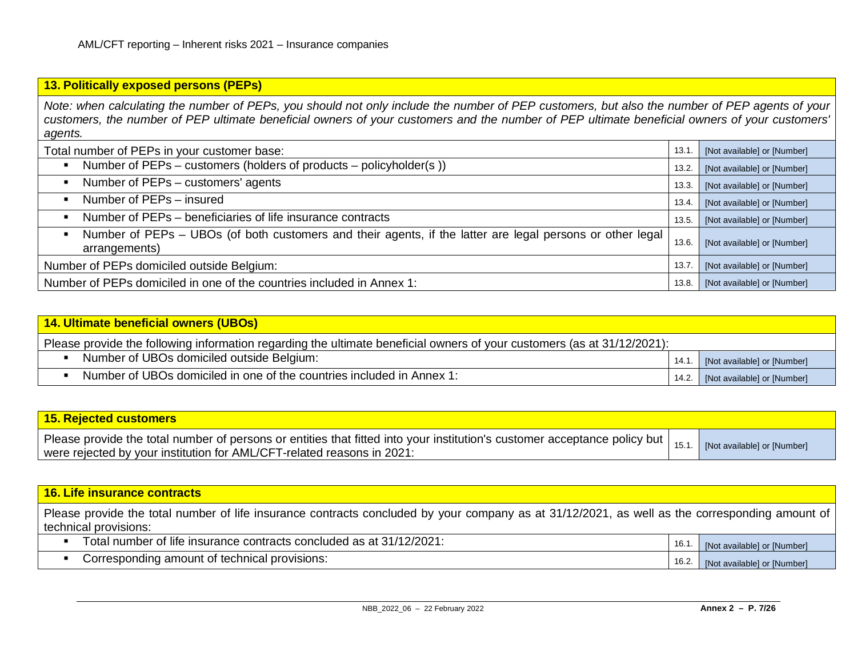# **13. Politically exposed persons (PEPs)**

*Note: when calculating the number of PEPs, you should not only include the number of PEP customers, but also the number of PEP agents of your customers, the number of PEP ultimate beneficial owners of your customers and the number of PEP ultimate beneficial owners of your customers' agents.*

| Total number of PEPs in your customer base:                                                                                                  | 13.1. | [Not available] or [Number] |
|----------------------------------------------------------------------------------------------------------------------------------------------|-------|-----------------------------|
| Number of PEPs – customers (holders of products – policyholder(s))                                                                           | 13.2. | [Not available] or [Number] |
| Number of PEPs - customers' agents                                                                                                           | 13.3. | [Not available] or [Number] |
| Number of PEPs - insured                                                                                                                     | 13.4. | [Not available] or [Number] |
| Number of PEPs – beneficiaries of life insurance contracts                                                                                   | 13.5. | [Not available] or [Number] |
| Number of PEPs – UBOs (of both customers and their agents, if the latter are legal persons or other legal<br>$\blacksquare$<br>arrangements) | 13.6. | [Not available] or [Number] |
| Number of PEPs domiciled outside Belgium:                                                                                                    | 13.7. | [Not available] or [Number] |
| Number of PEPs domiciled in one of the countries included in Annex 1:                                                                        | 13.8. | [Not available] or [Number] |

| 14. Ultimate beneficial owners (UBOs)                                                                                   |       |                                   |
|-------------------------------------------------------------------------------------------------------------------------|-------|-----------------------------------|
| Please provide the following information regarding the ultimate beneficial owners of your customers (as at 31/12/2021): |       |                                   |
| Number of UBOs domiciled outside Belgium:                                                                               | 14.1. | [Not available] or [Number]       |
| Number of UBOs domiciled in one of the countries included in Annex 1:                                                   |       | 14.2. [Not available] or [Number] |

| <b>15. Rejected customers</b>                                                                                                                                                                                     |                             |
|-------------------------------------------------------------------------------------------------------------------------------------------------------------------------------------------------------------------|-----------------------------|
| Please provide the total number of persons or entities that fitted into your institution's customer acceptance policy but $\vert$ 15.1.<br>were rejected by your institution for AML/CFT-related reasons in 2021: | [Not available] or [Number] |

| Please provide the total number of life insurance contracts concluded by your company as at 31/12/2021, as well as the corresponding amount of<br>technical provisions:<br>Total number of life insurance contracts concluded as at 31/12/2021:<br>16.1<br>[Not available] or [Number]<br>Corresponding amount of technical provisions:<br>16.2.<br>[Not available] or [Number] | <b>16. Life insurance contracts</b> |  |
|---------------------------------------------------------------------------------------------------------------------------------------------------------------------------------------------------------------------------------------------------------------------------------------------------------------------------------------------------------------------------------|-------------------------------------|--|
|                                                                                                                                                                                                                                                                                                                                                                                 |                                     |  |
|                                                                                                                                                                                                                                                                                                                                                                                 |                                     |  |
|                                                                                                                                                                                                                                                                                                                                                                                 |                                     |  |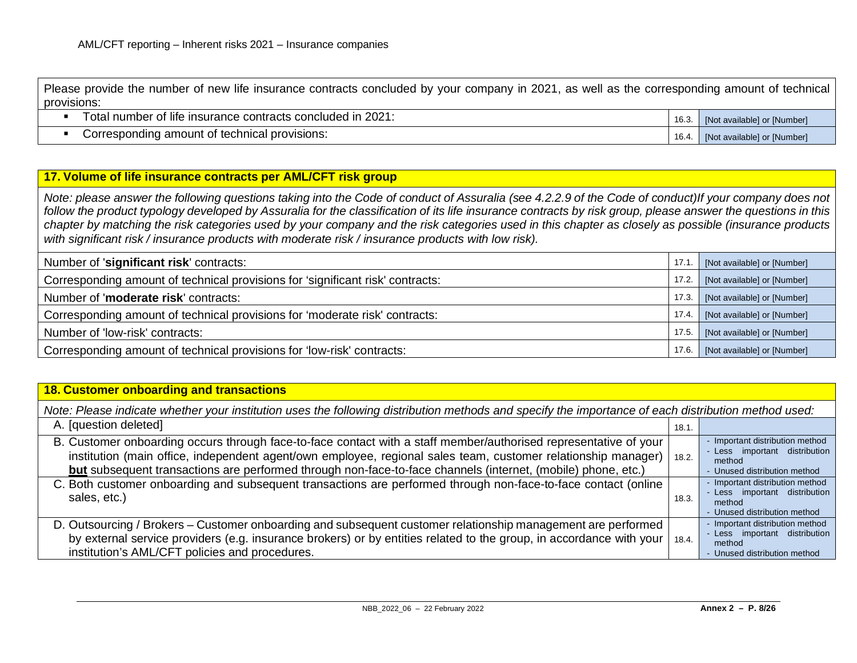Please provide the number of new life insurance contracts concluded by your company in 2021, as well as the corresponding amount of technical provisions:

| Total number of life insurance contracts concluded in 2021: |  | 16.3. [Not available] or [Number] |
|-------------------------------------------------------------|--|-----------------------------------|
|-------------------------------------------------------------|--|-----------------------------------|

Corresponding amount of technical provisions:<br>
16.4. [Not available] or [Number]

#### **17. Volume of life insurance contracts per AML/CFT risk group**

*Note: please answer the following questions taking into the Code of conduct of Assuralia (see 4.2.2.9 of the Code of conduct)If your company does not follow the product typology developed by Assuralia for the classification of its life insurance contracts by risk group, please answer the questions in this chapter by matching the risk categories used by your company and the risk categories used in this chapter as closely as possible (insurance products with significant risk / insurance products with moderate risk / insurance products with low risk).*

| Number of 'significant risk' contracts:                                        | 17.1. | [Not available] or [Number] |
|--------------------------------------------------------------------------------|-------|-----------------------------|
| Corresponding amount of technical provisions for 'significant risk' contracts: | 17.2. | [Not available] or [Number] |
| Number of 'moderate risk' contracts:                                           | 17.3. | [Not available] or [Number] |
| Corresponding amount of technical provisions for 'moderate risk' contracts:    | 17.4. | [Not available] or [Number] |
| Number of 'low-risk' contracts:                                                | 17.5. | [Not available] or [Number] |
| Corresponding amount of technical provisions for 'low-risk' contracts:         | 17.6. | [Not available] or [Number] |

#### **18. Customer onboarding and transactions**

*Note: Please indicate whether your institution uses the following distribution methods and specify the importance of each distribution method used:*

| A. [question deleted]                                                                                                                                                                                                                                                                                                                                     | 18.1. |                                                                                                            |
|-----------------------------------------------------------------------------------------------------------------------------------------------------------------------------------------------------------------------------------------------------------------------------------------------------------------------------------------------------------|-------|------------------------------------------------------------------------------------------------------------|
| B. Customer onboarding occurs through face-to-face contact with a staff member/authorised representative of your<br>institution (main office, independent agent/own employee, regional sales team, customer relationship manager)   18.2.<br>but subsequent transactions are performed through non-face-to-face channels (internet, (mobile) phone, etc.) |       | - Important distribution method<br>- Less important distribution<br>method<br>- Unused distribution method |
| C. Both customer onboarding and subsequent transactions are performed through non-face-to-face contact (online<br>sales, etc.)                                                                                                                                                                                                                            | 18.3. | - Important distribution method<br>- Less important distribution<br>method<br>- Unused distribution method |
| D. Outsourcing / Brokers – Customer onboarding and subsequent customer relationship management are performed<br>by external service providers (e.g. insurance brokers) or by entities related to the group, in accordance with your   18.4.<br>institution's AML/CFT policies and procedures.                                                             |       | - Important distribution method<br>- Less important distribution<br>method<br>- Unused distribution method |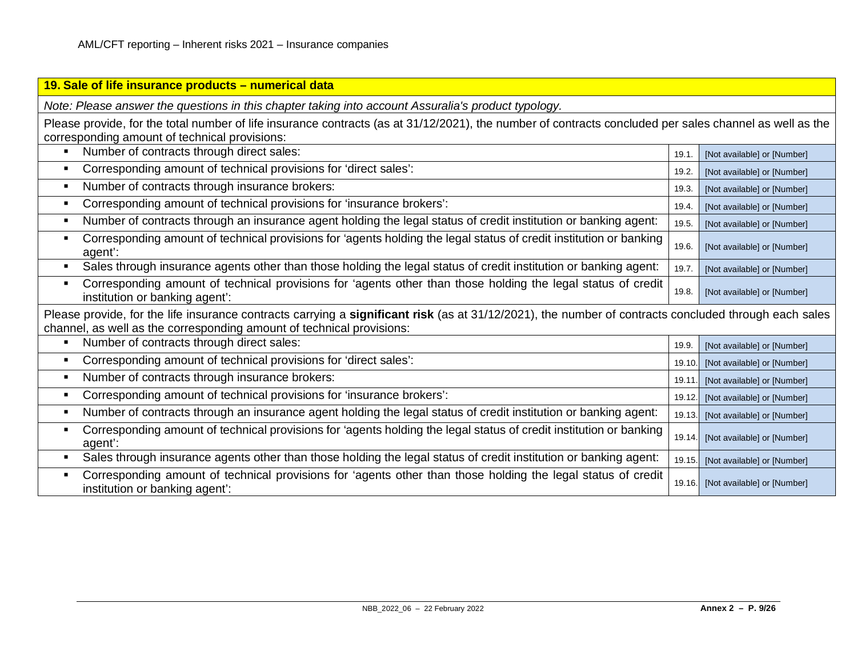| 19. Sale of life insurance products - numerical data                                                                                                                                                                           |        |                             |
|--------------------------------------------------------------------------------------------------------------------------------------------------------------------------------------------------------------------------------|--------|-----------------------------|
| Note: Please answer the questions in this chapter taking into account Assuralia's product typology.                                                                                                                            |        |                             |
| Please provide, for the total number of life insurance contracts (as at 31/12/2021), the number of contracts concluded per sales channel as well as the<br>corresponding amount of technical provisions:                       |        |                             |
| Number of contracts through direct sales:                                                                                                                                                                                      | 19.1   | [Not available] or [Number] |
| Corresponding amount of technical provisions for 'direct sales':<br>$\blacksquare$                                                                                                                                             | 19.2.  | [Not available] or [Number] |
| Number of contracts through insurance brokers:<br>$\blacksquare$                                                                                                                                                               | 19.3.  | [Not available] or [Number] |
| Corresponding amount of technical provisions for 'insurance brokers':<br>$\blacksquare$                                                                                                                                        | 19.4.  | [Not available] or [Number] |
| Number of contracts through an insurance agent holding the legal status of credit institution or banking agent:                                                                                                                | 19.5   | [Not available] or [Number] |
| Corresponding amount of technical provisions for 'agents holding the legal status of credit institution or banking<br>agent':                                                                                                  | 19.6.  | [Not available] or [Number] |
| Sales through insurance agents other than those holding the legal status of credit institution or banking agent:<br>$\blacksquare$                                                                                             | 19.7   | [Not available] or [Number] |
| Corresponding amount of technical provisions for 'agents other than those holding the legal status of credit<br>٠<br>institution or banking agent':                                                                            | 19.8.  | [Not available] or [Number] |
| Please provide, for the life insurance contracts carrying a significant risk (as at 31/12/2021), the number of contracts concluded through each sales<br>channel, as well as the corresponding amount of technical provisions: |        |                             |
| Number of contracts through direct sales:                                                                                                                                                                                      | 19.9.  | [Not available] or [Number] |
| Corresponding amount of technical provisions for 'direct sales':                                                                                                                                                               | 19.10  | [Not available] or [Number] |
| Number of contracts through insurance brokers:<br>п                                                                                                                                                                            | 19.11  | [Not available] or [Number] |
| Corresponding amount of technical provisions for 'insurance brokers':<br>$\blacksquare$                                                                                                                                        | 19.12  | [Not available] or [Number] |
| Number of contracts through an insurance agent holding the legal status of credit institution or banking agent:<br>٠                                                                                                           | 19.13. | [Not available] or [Number] |
| Corresponding amount of technical provisions for 'agents holding the legal status of credit institution or banking<br>agent':                                                                                                  | 19.14. | [Not available] or [Number] |
| Sales through insurance agents other than those holding the legal status of credit institution or banking agent:<br>$\blacksquare$                                                                                             | 19.15. | [Not available] or [Number] |
| Corresponding amount of technical provisions for 'agents other than those holding the legal status of credit<br>institution or banking agent':                                                                                 | 19.16. | [Not available] or [Number] |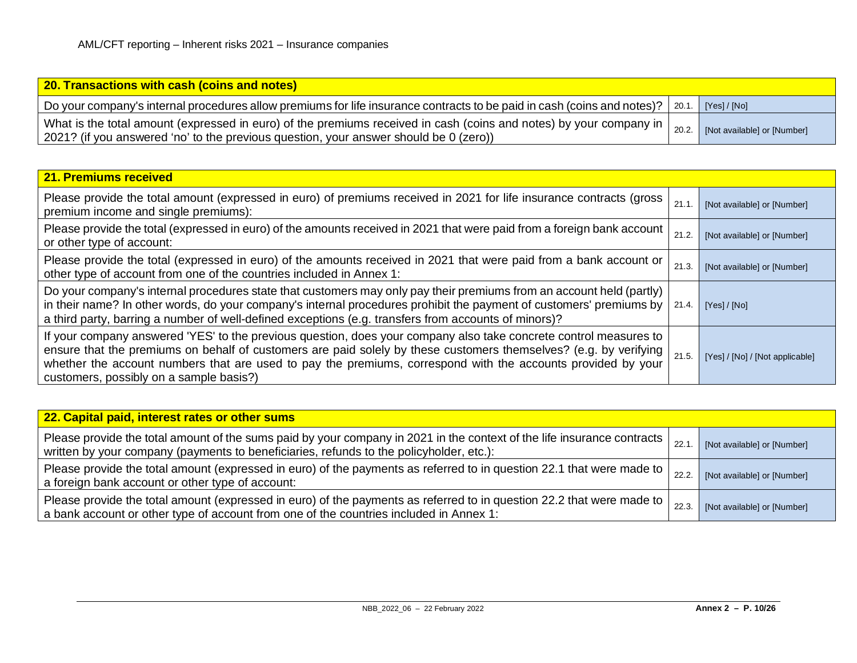| <b>20. Transactions with cash (coins and notes)</b>                                                                                                                                                         |       |                             |
|-------------------------------------------------------------------------------------------------------------------------------------------------------------------------------------------------------------|-------|-----------------------------|
| Do your company's internal procedures allow premiums for life insurance contracts to be paid in cash (coins and notes)?   20.1.                                                                             |       | [Yes] / [No]                |
| What is the total amount (expressed in euro) of the premiums received in cash (coins and notes) by your company in<br>2021? (if you answered 'no' to the previous question, your answer should be 0 (zero)) | 20.2. | [Not available] or [Number] |

| 21. Premiums received                                                                                                                                                                                                                                                                                                                                                                               |       |                                 |
|-----------------------------------------------------------------------------------------------------------------------------------------------------------------------------------------------------------------------------------------------------------------------------------------------------------------------------------------------------------------------------------------------------|-------|---------------------------------|
| Please provide the total amount (expressed in euro) of premiums received in 2021 for life insurance contracts (gross<br>premium income and single premiums):                                                                                                                                                                                                                                        | 21.1  | [Not available] or [Number]     |
| Please provide the total (expressed in euro) of the amounts received in 2021 that were paid from a foreign bank account<br>or other type of account:                                                                                                                                                                                                                                                | 21.2  | [Not available] or [Number]     |
| Please provide the total (expressed in euro) of the amounts received in 2021 that were paid from a bank account or<br>other type of account from one of the countries included in Annex 1:                                                                                                                                                                                                          | 21.3. | [Not available] or [Number]     |
| Do your company's internal procedures state that customers may only pay their premiums from an account held (partly)<br>in their name? In other words, do your company's internal procedures prohibit the payment of customers' premiums by  <br>a third party, barring a number of well-defined exceptions (e.g. transfers from accounts of minors)?                                               | 21.4. | [Yes] / [No]                    |
| If your company answered 'YES' to the previous question, does your company also take concrete control measures to<br>ensure that the premiums on behalf of customers are paid solely by these customers themselves? (e.g. by verifying  <br>whether the account numbers that are used to pay the premiums, correspond with the accounts provided by your<br>customers, possibly on a sample basis?) | 21.5  | [Yes] / [No] / [Not applicable] |

| 22. Capital paid, interest rates or other sums                                                                                                                                                                       |       |                             |
|----------------------------------------------------------------------------------------------------------------------------------------------------------------------------------------------------------------------|-------|-----------------------------|
| Please provide the total amount of the sums paid by your company in 2021 in the context of the life insurance contracts  <br>written by your company (payments to beneficiaries, refunds to the policyholder, etc.): | 22.1  | [Not available] or [Number] |
| Please provide the total amount (expressed in euro) of the payments as referred to in question 22.1 that were made to $\vert$<br>a foreign bank account or other type of account:                                    | 22.2. | [Not available] or [Number] |
| Please provide the total amount (expressed in euro) of the payments as referred to in question 22.2 that were made to  <br>a bank account or other type of account from one of the countries included in Annex 1:    | 22.3. | [Not available] or [Number] |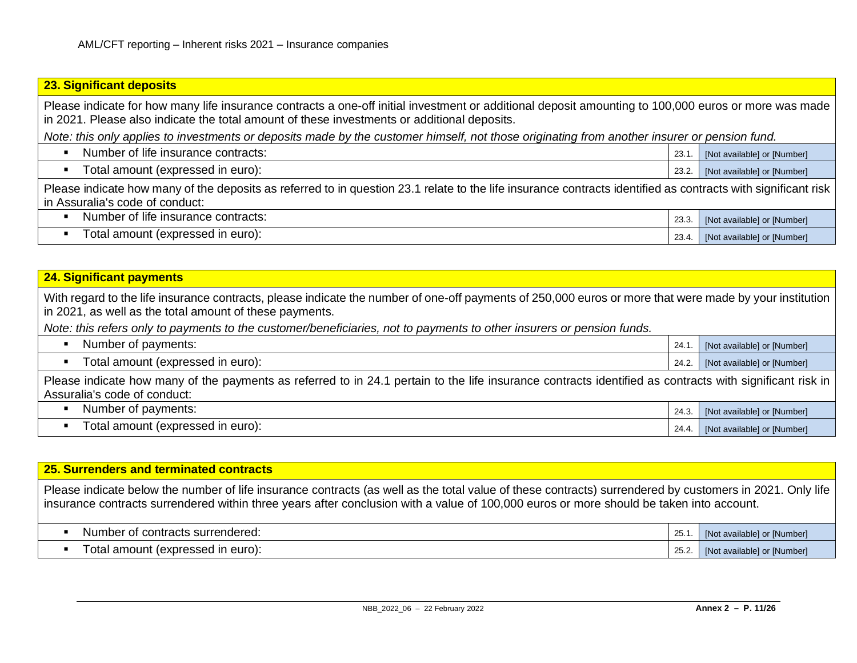# **23. Significant deposits** Please indicate for how many life insurance contracts a one-off initial investment or additional deposit amounting to 100,000 euros or more was made in 2021. Please also indicate the total amount of these investments or additional deposits. *Note: this only applies to investments or deposits made by the customer himself, not those originating from another insurer or pension fund.* Number of life insurance contracts:  $23.1$ . [Not available] or [Number] ■ Total amount (expressed in euro): 23.2. [Not available] or [Number] 23.2. [Not available] or [Number] Please indicate how many of the deposits as referred to in question 23.1 relate to the life insurance contracts identified as contracts with significant risk in Assuralia's code of conduct: Number of life insurance contracts: 23.3. [Not available] or [Number] Total amount (expressed in euro): 23.4. [Not available] or [Number] 23.4. [Not available] or [Number]

#### **24. Significant payments**

With regard to the life insurance contracts, please indicate the number of one-off payments of 250,000 euros or more that were made by your institution in 2021, as well as the total amount of these payments.

*Note: this refers only to payments to the customer/beneficiaries, not to payments to other insurers or pension funds.*

| Number of payments:                                                                                                                                                                        |  | 24.1. [Not available] or [Number] |
|--------------------------------------------------------------------------------------------------------------------------------------------------------------------------------------------|--|-----------------------------------|
| Total amount (expressed in euro):                                                                                                                                                          |  | 24.2. [Not available] or [Number] |
| Please indicate how many of the payments as referred to in 24.1 pertain to the life insurance contracts identified as contracts with significant risk in  <br>Assuralia's code of conduct: |  |                                   |

| Number of payments:               | 24.3. | [Not available] or [Number] |
|-----------------------------------|-------|-----------------------------|
| Total amount (expressed in euro): | 24.4. | [Not available] or [Number] |

#### **25. Surrenders and terminated contracts**

Please indicate below the number of life insurance contracts (as well as the total value of these contracts) surrendered by customers in 2021. Only life insurance contracts surrendered within three years after conclusion with a value of 100,000 euros or more should be taken into account.

| f contracts surrendered:<br>Number<br>υı       | 25.7 | (Not available) or [Number] |
|------------------------------------------------|------|-----------------------------|
| ⊺otal<br>∶(expressed ır<br>⊢euro):<br>l amount | ∡.25 | [Not available] or [Number] |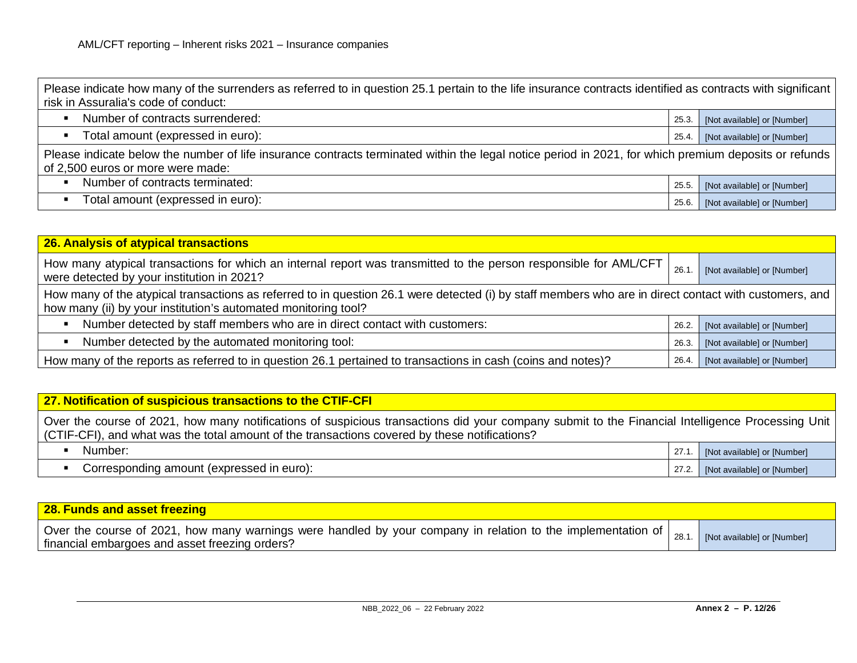| Please indicate how many of the surrenders as referred to in question 25.1 pertain to the life insurance contracts identified as contracts with significant |  |  |
|-------------------------------------------------------------------------------------------------------------------------------------------------------------|--|--|
| risk in Assuralia's code of conduct:                                                                                                                        |  |  |
|                                                                                                                                                             |  |  |

| Number of contracts surrendered:  | 25.3. | [Not available] or [Number] |
|-----------------------------------|-------|-----------------------------|
| Total amount (expressed in euro): | 25.4. | [Not available] or [Number] |

Please indicate below the number of life insurance contracts terminated within the legal notice period in 2021, for which premium deposits or refunds of 2,500 euros or more were made:

| Number of contracts terminated:    | 25.t | [Not available] or [Number] |
|------------------------------------|------|-----------------------------|
| l otal amount (expressed in euro): | 25.6 | [Not available] or [Number] |

| 26. Analysis of atypical transactions                                                                                                                                                                                    |       |                             |  |
|--------------------------------------------------------------------------------------------------------------------------------------------------------------------------------------------------------------------------|-------|-----------------------------|--|
| How many atypical transactions for which an internal report was transmitted to the person responsible for AML/CFT<br>were detected by your institution in 2021?                                                          | 26.1  | [Not available] or [Number] |  |
| How many of the atypical transactions as referred to in question 26.1 were detected (i) by staff members who are in direct contact with customers, and<br>how many (ii) by your institution's automated monitoring tool? |       |                             |  |
| Number detected by staff members who are in direct contact with customers:<br>$\blacksquare$                                                                                                                             | 26.2. | [Not available] or [Number] |  |
| Number detected by the automated monitoring tool:<br>$\blacksquare$                                                                                                                                                      | 26.3. | [Not available] or [Number] |  |
| How many of the reports as referred to in question 26.1 pertained to transactions in cash (coins and notes)?                                                                                                             | 26.4. | [Not available] or [Number] |  |

#### **27. Notification of suspicious transactions to the CTIF-CFI**

Over the course of 2021, how many notifications of suspicious transactions did your company submit to the Financial Intelligence Processing Unit (CTIF-CFI), and what was the total amount of the transactions covered by these notifications?

| Number:                                     | $\sim$<br>41.I | <b>Not available or INumberi</b> |
|---------------------------------------------|----------------|----------------------------------|
| euro)<br>Corresponding amount (expressed in | 272<br>21.2    | [Not available] or [Number]      |

| 28. Funds and asset freezing                                                                                                                                                    |                             |
|---------------------------------------------------------------------------------------------------------------------------------------------------------------------------------|-----------------------------|
| Over the course of 2021, how many warnings were handled by your company in relation to the implementation of $\vert_{28.1}$<br>  financial embargoes and asset freezing orders? | [Not available] or [Number] |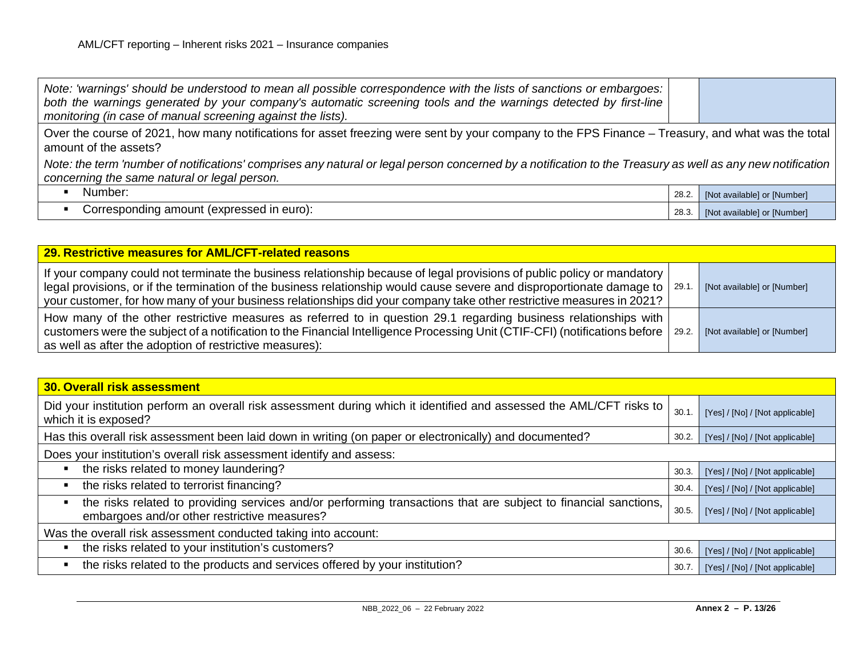| Note: 'warnings' should be understood to mean all possible correspondence with the lists of sanctions or embargoes:<br>both the warnings generated by your company's automatic screening tools and the warnings detected by first-line<br>monitoring (in case of manual screening against the lists). |       |                             |
|-------------------------------------------------------------------------------------------------------------------------------------------------------------------------------------------------------------------------------------------------------------------------------------------------------|-------|-----------------------------|
| Over the course of 2021, how many notifications for asset freezing were sent by your company to the FPS Finance - Treasury, and what was the total<br>amount of the assets?                                                                                                                           |       |                             |
| Note: the term 'number of notifications' comprises any natural or legal person concerned by a notification to the Treasury as well as any new notification<br>concerning the same natural or legal person.                                                                                            |       |                             |
| Number:                                                                                                                                                                                                                                                                                               | 28.2  | [Not available] or [Number] |
| Corresponding amount (expressed in euro):                                                                                                                                                                                                                                                             | 28.3. | [Not available] or [Number] |

| 29. Restrictive measures for AML/CFT-related reasons                                                                                                                                                                                                                                                                                                                                      |                             |
|-------------------------------------------------------------------------------------------------------------------------------------------------------------------------------------------------------------------------------------------------------------------------------------------------------------------------------------------------------------------------------------------|-----------------------------|
| If your company could not terminate the business relationship because of legal provisions of public policy or mandatory<br>legal provisions, or if the termination of the business relationship would cause severe and disproportionate damage to $\sqrt{29.1}$ .<br>your customer, for how many of your business relationships did your company take other restrictive measures in 2021? | [Not available] or [Number] |
| How many of the other restrictive measures as referred to in question 29.1 regarding business relationships with<br>customers were the subject of a notification to the Financial Intelligence Processing Unit (CTIF-CFI) (notifications before   29.2.<br>as well as after the adoption of restrictive measures):                                                                        | [Not available] or [Number] |

| <b>30. Overall risk assessment</b>                                                                                                                              |       |                                 |  |
|-----------------------------------------------------------------------------------------------------------------------------------------------------------------|-------|---------------------------------|--|
| Did your institution perform an overall risk assessment during which it identified and assessed the AML/CFT risks to<br>which it is exposed?                    | 30.1  | [Yes] / [No] / [Not applicable] |  |
| Has this overall risk assessment been laid down in writing (on paper or electronically) and documented?                                                         | 30.2. | [Yes] / [No] / [Not applicable] |  |
| Does your institution's overall risk assessment identify and assess:                                                                                            |       |                                 |  |
| the risks related to money laundering?                                                                                                                          | 30.3. | [Yes] / [No] / [Not applicable] |  |
| the risks related to terrorist financing?                                                                                                                       | 30.4. | [Yes] / [No] / [Not applicable] |  |
| the risks related to providing services and/or performing transactions that are subject to financial sanctions,<br>embargoes and/or other restrictive measures? | 30.5. | [Yes] / [No] / [Not applicable] |  |
| Was the overall risk assessment conducted taking into account:                                                                                                  |       |                                 |  |
| the risks related to your institution's customers?                                                                                                              | 30.6. | [Yes] / [No] / [Not applicable] |  |
| the risks related to the products and services offered by your institution?                                                                                     | 30.7  | [Yes] / [No] / [Not applicable] |  |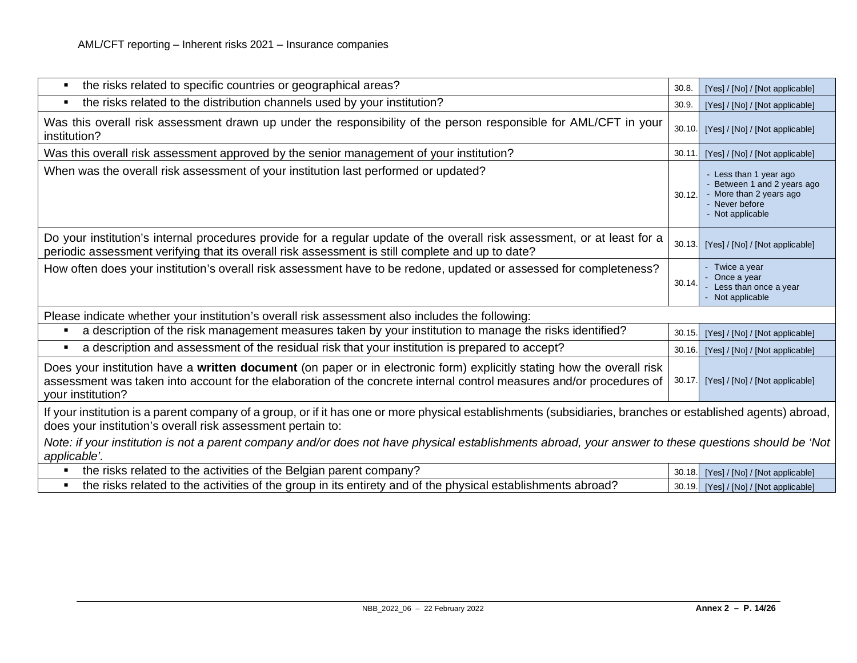| the risks related to specific countries or geographical areas?<br>$\blacksquare$                                                                                                                                                                                    | 30.8   | [Yes] / [No] / [Not applicable]                                                                                  |  |
|---------------------------------------------------------------------------------------------------------------------------------------------------------------------------------------------------------------------------------------------------------------------|--------|------------------------------------------------------------------------------------------------------------------|--|
| the risks related to the distribution channels used by your institution?<br>$\blacksquare$                                                                                                                                                                          | 30.9   | [Yes] / [No] / [Not applicable]                                                                                  |  |
| Was this overall risk assessment drawn up under the responsibility of the person responsible for AML/CFT in your<br>institution?                                                                                                                                    | 30.10. | [Yes] / [No] / [Not applicable]                                                                                  |  |
| Was this overall risk assessment approved by the senior management of your institution?                                                                                                                                                                             | 30.11  | [Yes] / [No] / [Not applicable]                                                                                  |  |
| When was the overall risk assessment of your institution last performed or updated?                                                                                                                                                                                 | 30.12. | - Less than 1 year ago<br>Between 1 and 2 years ago<br>More than 2 years ago<br>Never before<br>- Not applicable |  |
| Do your institution's internal procedures provide for a regular update of the overall risk assessment, or at least for a<br>periodic assessment verifying that its overall risk assessment is still complete and up to date?                                        | 30.13. | [Yes] / [No] / [Not applicable]                                                                                  |  |
| How often does your institution's overall risk assessment have to be redone, updated or assessed for completeness?                                                                                                                                                  | 30.14. | Twice a year<br>Once a year<br>Less than once a year<br>Not applicable                                           |  |
| Please indicate whether your institution's overall risk assessment also includes the following:                                                                                                                                                                     |        |                                                                                                                  |  |
| a description of the risk management measures taken by your institution to manage the risks identified?<br>٠                                                                                                                                                        | 30.15. | [Yes] / [No] / [Not applicable]                                                                                  |  |
| a description and assessment of the residual risk that your institution is prepared to accept?<br>$\blacksquare$                                                                                                                                                    | 30.16. | [Yes] / [No] / [Not applicable]                                                                                  |  |
| Does your institution have a written document (on paper or in electronic form) explicitly stating how the overall risk<br>assessment was taken into account for the elaboration of the concrete internal control measures and/or procedures of<br>your institution? | 30.17. | [Yes] / [No] / [Not applicable]                                                                                  |  |
| If your institution is a parent company of a group, or if it has one or more physical establishments (subsidiaries, branches or established agents) abroad,<br>does your institution's overall risk assessment pertain to:                                          |        |                                                                                                                  |  |
| Note: if your institution is not a parent company and/or does not have physical establishments abroad, your answer to these questions should be 'Not<br>applicable'.                                                                                                |        |                                                                                                                  |  |
| the risks related to the activities of the Belgian parent company?                                                                                                                                                                                                  | 30.18. | [Yes] / [No] / [Not applicable]                                                                                  |  |
| the risks related to the activities of the group in its entirety and of the physical establishments abroad?<br>$\blacksquare$                                                                                                                                       | 30.19. | [Yes] / [No] / [Not applicable]                                                                                  |  |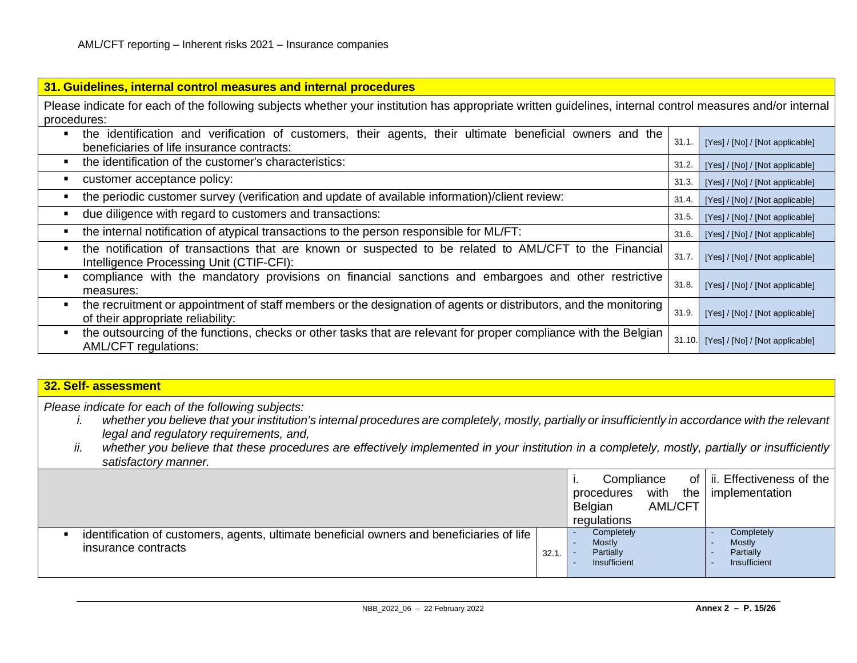| 31. Guidelines, internal control measures and internal procedures                                                                                         |        |                                 |
|-----------------------------------------------------------------------------------------------------------------------------------------------------------|--------|---------------------------------|
| Please indicate for each of the following subjects whether your institution has appropriate written guidelines, internal control measures and/or internal |        |                                 |
| procedures:                                                                                                                                               |        |                                 |
| the identification and verification of customers, their agents, their ultimate beneficial owners and the<br>beneficiaries of life insurance contracts:    | 31.1.  | [Yes] / [No] / [Not applicable] |
| the identification of the customer's characteristics:                                                                                                     | 31.2.  | [Yes] / [No] / [Not applicable] |
| customer acceptance policy:                                                                                                                               | 31.3.  | [Yes] / [No] / [Not applicable] |
| the periodic customer survey (verification and update of available information)/client review:                                                            | 31.4.  | [Yes] / [No] / [Not applicable] |
| due diligence with regard to customers and transactions:                                                                                                  | 31.5.  | [Yes] / [No] / [Not applicable] |
| the internal notification of atypical transactions to the person responsible for ML/FT:                                                                   | 31.6.  | [Yes] / [No] / [Not applicable] |
| the notification of transactions that are known or suspected to be related to AML/CFT to the Financial<br>Intelligence Processing Unit (CTIF-CFI):        | 31.7.  | [Yes] / [No] / [Not applicable] |
| compliance with the mandatory provisions on financial sanctions and embargoes and other restrictive<br>measures:                                          | 31.8.  | [Yes] / [No] / [Not applicable] |
| the recruitment or appointment of staff members or the designation of agents or distributors, and the monitoring<br>of their appropriate reliability:     | 31.9.  | [Yes] / [No] / [Not applicable] |
| the outsourcing of the functions, checks or other tasks that are relevant for proper compliance with the Belgian<br><b>AML/CFT regulations:</b>           | 31.10. | [Yes] / [No] / [Not applicable] |

## **32. Self- assessment**

*Please indicate for each of the following subjects:*

- *i. whether you believe that your institution's internal procedures are completely, mostly, partially or insufficiently in accordance with the relevant legal and regulatory requirements, and,*
- *ii. whether you believe that these procedures are effectively implemented in your institution in a completely, mostly, partially or insufficiently satisfactory manner.*

|                                                                                                                  |       | Compliance<br>with<br>procedures<br><b>AML/CFT</b><br>Belgian<br>regulations | of   ii. Effectiveness of the<br>the   implementation    |
|------------------------------------------------------------------------------------------------------------------|-------|------------------------------------------------------------------------------|----------------------------------------------------------|
| identification of customers, agents, ultimate beneficial owners and beneficiaries of life<br>insurance contracts | 32.1. | Completely<br><b>Mostly</b><br>Partially<br>Insufficient                     | Completely<br><b>Mostly</b><br>Partially<br>Insufficient |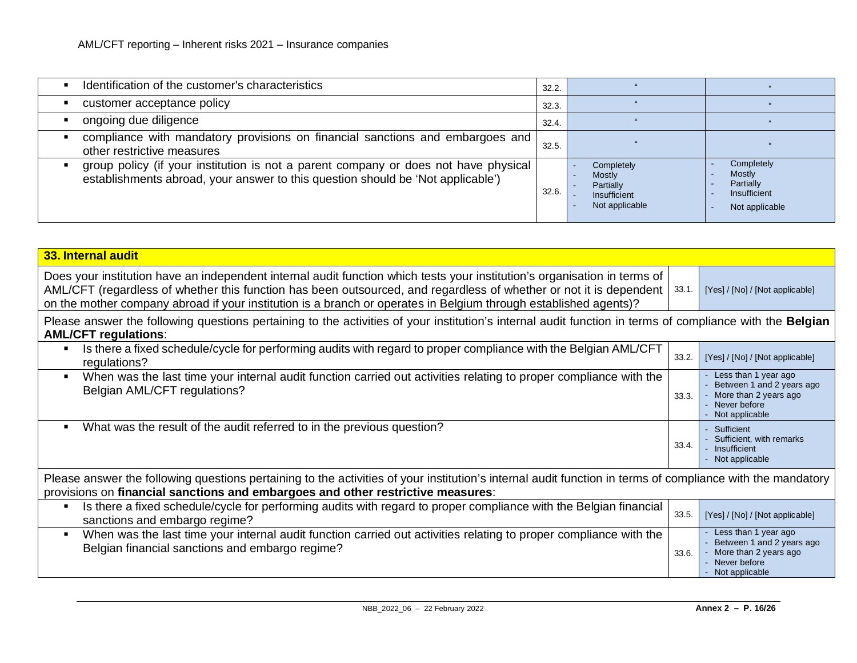| Identification of the customer's characteristics                                                                                                                       | 32.2. |                                                                     |                                                                            |
|------------------------------------------------------------------------------------------------------------------------------------------------------------------------|-------|---------------------------------------------------------------------|----------------------------------------------------------------------------|
| customer acceptance policy                                                                                                                                             | 32.3. |                                                                     |                                                                            |
| ongoing due diligence                                                                                                                                                  | 32.4. |                                                                     |                                                                            |
| compliance with mandatory provisions on financial sanctions and embargoes and<br>other restrictive measures                                                            | 32.5. |                                                                     |                                                                            |
| group policy (if your institution is not a parent company or does not have physical<br>establishments abroad, your answer to this question should be 'Not applicable') | 32.6. | Completely<br>Mostly<br>Partially<br>Insufficient<br>Not applicable | Completely<br><b>Mostly</b><br>Partially<br>Insufficient<br>Not applicable |

| 33. Internal audit                                                                                                                                                                                                                                                                                                                                                  |       |                                                                                                                |
|---------------------------------------------------------------------------------------------------------------------------------------------------------------------------------------------------------------------------------------------------------------------------------------------------------------------------------------------------------------------|-------|----------------------------------------------------------------------------------------------------------------|
| Does your institution have an independent internal audit function which tests your institution's organisation in terms of<br>AML/CFT (regardless of whether this function has been outsourced, and regardless of whether or not it is dependent<br>on the mother company abroad if your institution is a branch or operates in Belgium through established agents)? | 33.1  | [Yes] / [No] / [Not applicable]                                                                                |
| Please answer the following questions pertaining to the activities of your institution's internal audit function in terms of compliance with the <b>Belgian</b><br><b>AML/CFT regulations:</b>                                                                                                                                                                      |       |                                                                                                                |
| Is there a fixed schedule/cycle for performing audits with regard to proper compliance with the Belgian AML/CFT<br>regulations?                                                                                                                                                                                                                                     | 33.2. | [Yes] / [No] / [Not applicable]                                                                                |
| When was the last time your internal audit function carried out activities relating to proper compliance with the<br>$\blacksquare$<br>Belgian AML/CFT regulations?                                                                                                                                                                                                 | 33.3. | Less than 1 year ago<br>Between 1 and 2 years ago<br>More than 2 years ago<br>Never before<br>Not applicable   |
| What was the result of the audit referred to in the previous question?<br>п                                                                                                                                                                                                                                                                                         | 33.4. | Sufficient<br>Sufficient, with remarks<br>Insufficient<br>Not applicable                                       |
| Please answer the following questions pertaining to the activities of your institution's internal audit function in terms of compliance with the mandatory<br>provisions on financial sanctions and embargoes and other restrictive measures:                                                                                                                       |       |                                                                                                                |
| Is there a fixed schedule/cycle for performing audits with regard to proper compliance with the Belgian financial<br>٠<br>sanctions and embargo regime?                                                                                                                                                                                                             | 33.5. | [Yes] / [No] / [Not applicable]                                                                                |
| When was the last time your internal audit function carried out activities relating to proper compliance with the<br>п<br>Belgian financial sanctions and embargo regime?                                                                                                                                                                                           | 33.6. | Less than 1 year ago<br>Between 1 and 2 years ago<br>More than 2 years ago<br>- Never before<br>Not applicable |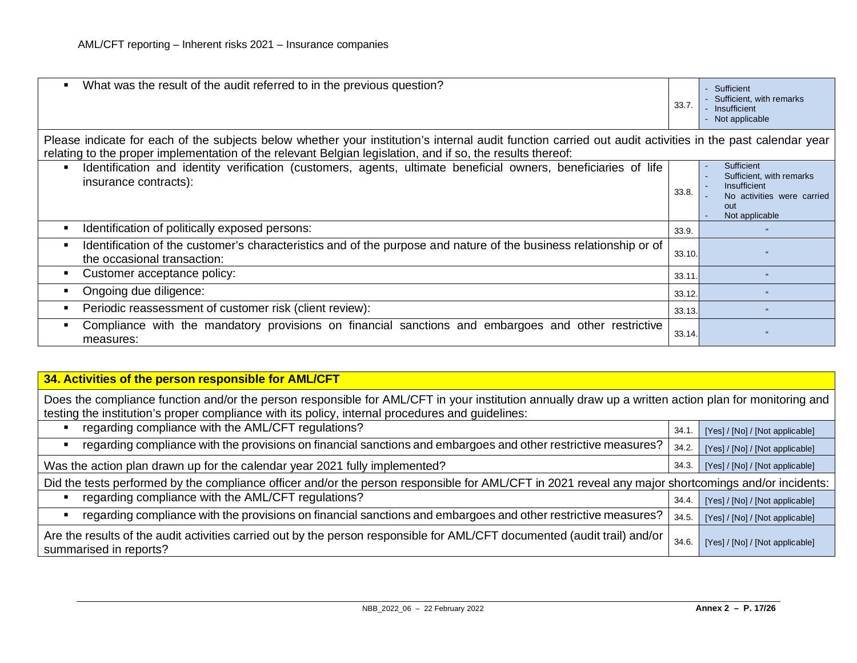| What was the result of the audit referred to in the previous question?<br>٠                                                                                                                                                                                            | 33.7.  | Sufficient<br>Sufficient, with remarks<br>- Insufficient<br>- Not applicable                                  |
|------------------------------------------------------------------------------------------------------------------------------------------------------------------------------------------------------------------------------------------------------------------------|--------|---------------------------------------------------------------------------------------------------------------|
| Please indicate for each of the subjects below whether your institution's internal audit function carried out audit activities in the past calendar year<br>relating to the proper implementation of the relevant Belgian legislation, and if so, the results thereof: |        |                                                                                                               |
| Identification and identity verification (customers, agents, ultimate beneficial owners, beneficiaries of life<br>$\blacksquare$<br>insurance contracts):                                                                                                              | 33.8.  | Sufficient<br>Sufficient, with remarks<br>Insufficient<br>No activities were carried<br>out<br>Not applicable |
| Identification of politically exposed persons:<br>п                                                                                                                                                                                                                    | 33.9.  |                                                                                                               |
| Identification of the customer's characteristics and of the purpose and nature of the business relationship or of<br>п<br>the occasional transaction:                                                                                                                  | 33.10. |                                                                                                               |
| Customer acceptance policy:<br>п                                                                                                                                                                                                                                       | 33.11. |                                                                                                               |
| Ongoing due diligence:<br>п                                                                                                                                                                                                                                            | 33.12. |                                                                                                               |
| Periodic reassessment of customer risk (client review):<br>$\blacksquare$                                                                                                                                                                                              | 33.13. |                                                                                                               |
| Compliance with the mandatory provisions on financial sanctions and embargoes and other restrictive<br>п<br>measures:                                                                                                                                                  | 33.14. |                                                                                                               |

## **34. Activities of the person responsible for AML/CFT**

Does the compliance function and/or the person responsible for AML/CFT in your institution annually draw up a written action plan for monitoring and testing the institution's proper compliance with its policy, internal procedures and guidelines:

| regarding compliance with the AML/CFT regulations?                                                                                                    | 34.1  | [Yes] / [No] / [Not applicable] |
|-------------------------------------------------------------------------------------------------------------------------------------------------------|-------|---------------------------------|
| regarding compliance with the provisions on financial sanctions and embargoes and other restrictive measures?                                         | 34.2. | [Yes] / [No] / [Not applicable] |
| Was the action plan drawn up for the calendar year 2021 fully implemented?                                                                            | 34.3. | [Yes] / [No] / [Not applicable] |
| Did the tests performed by the compliance officer and/or the person responsible for AML/CFT in 2021 reveal any major shortcomings and/or incidents:   |       |                                 |
| regarding compliance with the AML/CFT regulations?                                                                                                    | 34.4. | [Yes] / [No] / [Not applicable] |
| regarding compliance with the provisions on financial sanctions and embargoes and other restrictive measures?                                         | 34.5. | [Yes] / [No] / [Not applicable] |
| Are the results of the audit activities carried out by the person responsible for AML/CFT documented (audit trail) and/or  <br>summarised in reports? | 34.6. | [Yes] / [No] / [Not applicable] |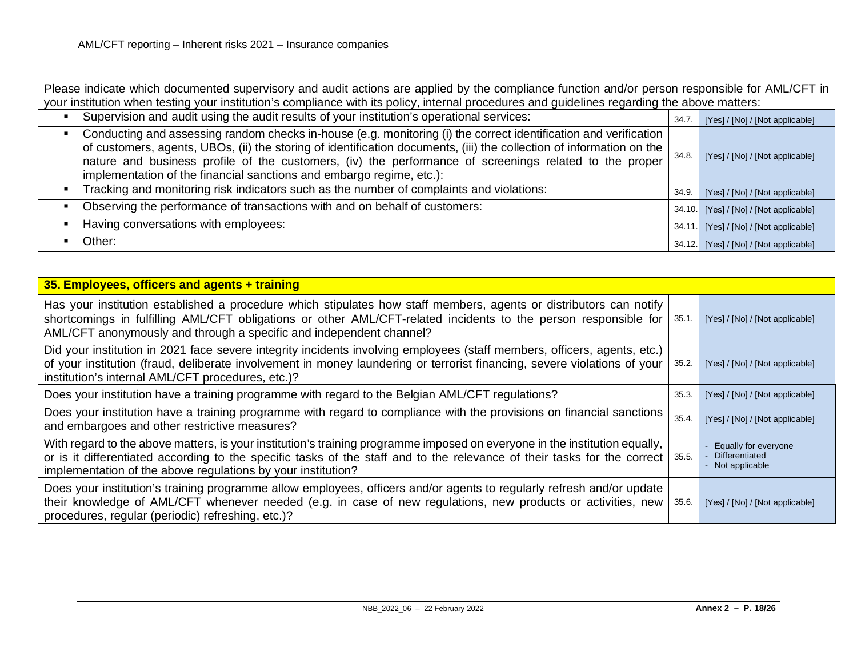| Please indicate which documented supervisory and audit actions are applied by the compliance function and/or person responsible for AML/CFT in<br>your institution when testing your institution's compliance with its policy, internal procedures and guidelines regarding the above matters:                                                                                                                                  |       |                                        |
|---------------------------------------------------------------------------------------------------------------------------------------------------------------------------------------------------------------------------------------------------------------------------------------------------------------------------------------------------------------------------------------------------------------------------------|-------|----------------------------------------|
| Supervision and audit using the audit results of your institution's operational services:                                                                                                                                                                                                                                                                                                                                       | 34.7  | [Yes] / [No] / [Not applicable]        |
| Conducting and assessing random checks in-house (e.g. monitoring (i) the correct identification and verification<br>п<br>of customers, agents, UBOs, (ii) the storing of identification documents, (iii) the collection of information on the<br>nature and business profile of the customers, (iv) the performance of screenings related to the proper<br>implementation of the financial sanctions and embargo regime, etc.): | 34.8. | [Yes] / [No] / [Not applicable]        |
| Tracking and monitoring risk indicators such as the number of complaints and violations:                                                                                                                                                                                                                                                                                                                                        | 34.9. | [Yes] / [No] / [Not applicable]        |
| Observing the performance of transactions with and on behalf of customers:                                                                                                                                                                                                                                                                                                                                                      |       | 34.10. [Yes] / [No] / [Not applicable] |
| Having conversations with employees:                                                                                                                                                                                                                                                                                                                                                                                            |       | 34.11. [Yes] / [No] / [Not applicable] |
| Other:                                                                                                                                                                                                                                                                                                                                                                                                                          |       | 34.12. [Yes] / [No] / [Not applicable] |

| 35. Employees, officers and agents + training                                                                                                                                                                                                                                                                          |       |                                                                 |
|------------------------------------------------------------------------------------------------------------------------------------------------------------------------------------------------------------------------------------------------------------------------------------------------------------------------|-------|-----------------------------------------------------------------|
| Has your institution established a procedure which stipulates how staff members, agents or distributors can notify<br>shortcomings in fulfilling AML/CFT obligations or other AML/CFT-related incidents to the person responsible for<br>AML/CFT anonymously and through a specific and independent channel?           | 35.1. | [Yes] / [No] / [Not applicable]                                 |
| Did your institution in 2021 face severe integrity incidents involving employees (staff members, officers, agents, etc.)<br>of your institution (fraud, deliberate involvement in money laundering or terrorist financing, severe violations of your<br>institution's internal AML/CFT procedures, etc.)?              | 35.2. | [Yes] / [No] / [Not applicable]                                 |
| Does your institution have a training programme with regard to the Belgian AML/CFT regulations?                                                                                                                                                                                                                        | 35.3. | [Yes] / [No] / [Not applicable]                                 |
| Does your institution have a training programme with regard to compliance with the provisions on financial sanctions<br>and embargoes and other restrictive measures?                                                                                                                                                  | 35.4. | [Yes] / [No] / [Not applicable]                                 |
| With regard to the above matters, is your institution's training programme imposed on everyone in the institution equally,<br>or is it differentiated according to the specific tasks of the staff and to the relevance of their tasks for the correct<br>implementation of the above regulations by your institution? | 35.5. | Equally for everyone<br><b>Differentiated</b><br>Not applicable |
| Does your institution's training programme allow employees, officers and/or agents to regularly refresh and/or update<br>their knowledge of AML/CFT whenever needed (e.g. in case of new regulations, new products or activities, new<br>procedures, regular (periodic) refreshing, etc.)?                             | 35.6. | [Yes] / [No] / [Not applicable]                                 |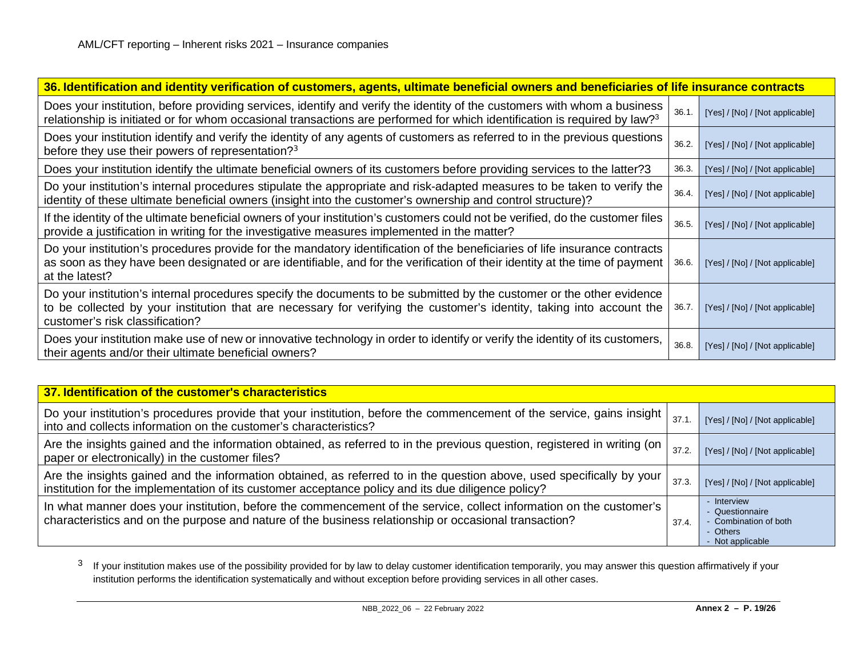<span id="page-18-0"></span>

| 36. Identification and identity verification of customers, agents, ultimate beneficial owners and beneficiaries of life insurance contracts                                                                                                                                       |       |                                 |  |  |
|-----------------------------------------------------------------------------------------------------------------------------------------------------------------------------------------------------------------------------------------------------------------------------------|-------|---------------------------------|--|--|
| Does your institution, before providing services, identify and verify the identity of the customers with whom a business<br>relationship is initiated or for whom occasional transactions are performed for which identification is required by law? <sup>3</sup>                 | 36.1. | [Yes] / [No] / [Not applicable] |  |  |
| Does your institution identify and verify the identity of any agents of customers as referred to in the previous questions<br>before they use their powers of representation? <sup>3</sup>                                                                                        | 36.2. | [Yes] / [No] / [Not applicable] |  |  |
| Does your institution identify the ultimate beneficial owners of its customers before providing services to the latter?3                                                                                                                                                          | 36.3. | [Yes] / [No] / [Not applicable] |  |  |
| Do your institution's internal procedures stipulate the appropriate and risk-adapted measures to be taken to verify the<br>identity of these ultimate beneficial owners (insight into the customer's ownership and control structure)?                                            | 36.4. | [Yes] / [No] / [Not applicable] |  |  |
| If the identity of the ultimate beneficial owners of your institution's customers could not be verified, do the customer files<br>provide a justification in writing for the investigative measures implemented in the matter?                                                    | 36.5. | [Yes] / [No] / [Not applicable] |  |  |
| Do your institution's procedures provide for the mandatory identification of the beneficiaries of life insurance contracts<br>as soon as they have been designated or are identifiable, and for the verification of their identity at the time of payment<br>at the latest?       | 36.6. | [Yes] / [No] / [Not applicable] |  |  |
| Do your institution's internal procedures specify the documents to be submitted by the customer or the other evidence<br>to be collected by your institution that are necessary for verifying the customer's identity, taking into account the<br>customer's risk classification? | 36.7. | [Yes] / [No] / [Not applicable] |  |  |
| Does your institution make use of new or innovative technology in order to identify or verify the identity of its customers,<br>their agents and/or their ultimate beneficial owners?                                                                                             | 36.8. | [Yes] / [No] / [Not applicable] |  |  |

| 37. Identification of the customer's characteristics                                                                                                                                                                         |       |                                                                                         |
|------------------------------------------------------------------------------------------------------------------------------------------------------------------------------------------------------------------------------|-------|-----------------------------------------------------------------------------------------|
| Do your institution's procedures provide that your institution, before the commencement of the service, gains insight  <br>into and collects information on the customer's characteristics?                                  | 37.1  | [Yes] / [No] / [Not applicable]                                                         |
| Are the insights gained and the information obtained, as referred to in the previous question, registered in writing (on<br>paper or electronically) in the customer files?                                                  | 37.2. | [Yes] / [No] / [Not applicable]                                                         |
| Are the insights gained and the information obtained, as referred to in the question above, used specifically by your<br>institution for the implementation of its customer acceptance policy and its due diligence policy?  | 37.3. | [Yes] / [No] / [Not applicable]                                                         |
| In what manner does your institution, before the commencement of the service, collect information on the customer's<br>characteristics and on the purpose and nature of the business relationship or occasional transaction? | 37.4. | - Interview<br>- Questionnaire<br>- Combination of both<br>- Others<br>- Not applicable |

<sup>3</sup> If your institution makes use of the possibility provided for by law to delay customer identification temporarily, you may answer this question affirmatively if your institution performs the identification systematically and without exception before providing services in all other cases.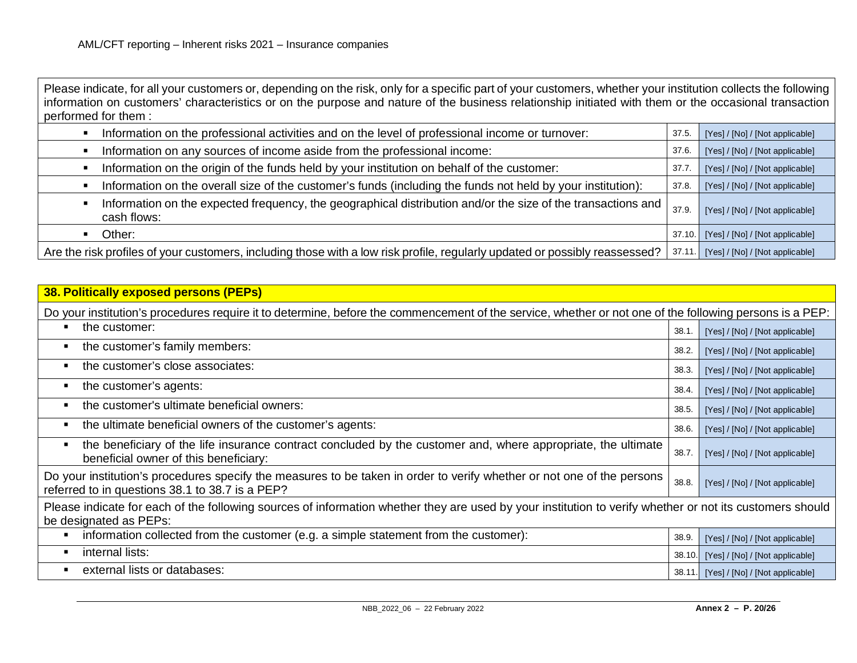Please indicate, for all your customers or, depending on the risk, only for a specific part of your customers, whether your institution collects the following information on customers' characteristics or on the purpose and nature of the business relationship initiated with them or the occasional transaction performed for them :

| Information on the professional activities and on the level of professional income or turnover:                               | 37.5   | [Yes] / [No] / [Not applicable] |
|-------------------------------------------------------------------------------------------------------------------------------|--------|---------------------------------|
| Information on any sources of income aside from the professional income:                                                      | 37.6.  | [Yes] / [No] / [Not applicable] |
| Information on the origin of the funds held by your institution on behalf of the customer:                                    | 37.7   | [Yes] / [No] / [Not applicable] |
| Information on the overall size of the customer's funds (including the funds not held by your institution):                   | 37.8   | [Yes] / [No] / [Not applicable] |
| Information on the expected frequency, the geographical distribution and/or the size of the transactions and  <br>cash flows: | 37.9   | [Yes] / [No] / [Not applicable] |
| Other:                                                                                                                        | 37.10. | [Yes] / [No] / [Not applicable] |
| Are the risk profiles of your customers, including those with a low risk profile, regularly updated or possibly reassessed?   | 37.11  | [Yes] / [No] / [Not applicable] |

| <b>38. Politically exposed persons (PEPs)</b>                                                                                                                                      |        |                                 |
|------------------------------------------------------------------------------------------------------------------------------------------------------------------------------------|--------|---------------------------------|
| Do your institution's procedures require it to determine, before the commencement of the service, whether or not one of the following persons is a PEP:                            |        |                                 |
| the customer:<br>п                                                                                                                                                                 | 38.1.  | [Yes] / [No] / [Not applicable] |
| the customer's family members:<br>$\blacksquare$                                                                                                                                   | 38.2.  | [Yes] / [No] / [Not applicable] |
| the customer's close associates:<br>$\blacksquare$                                                                                                                                 | 38.3.  | [Yes] / [No] / [Not applicable] |
| the customer's agents:<br>$\blacksquare$                                                                                                                                           | 38.4.  | [Yes] / [No] / [Not applicable] |
| the customer's ultimate beneficial owners:<br>$\blacksquare$                                                                                                                       | 38.5.  | [Yes] / [No] / [Not applicable] |
| the ultimate beneficial owners of the customer's agents:<br>$\blacksquare$                                                                                                         | 38.6.  | [Yes] / [No] / [Not applicable] |
| the beneficiary of the life insurance contract concluded by the customer and, where appropriate, the ultimate<br>$\blacksquare$<br>beneficial owner of this beneficiary:           | 38.7.  | [Yes] / [No] / [Not applicable] |
| Do your institution's procedures specify the measures to be taken in order to verify whether or not one of the persons<br>referred to in questions 38.1 to 38.7 is a PEP?          | 38.8.  | [Yes] / [No] / [Not applicable] |
| Please indicate for each of the following sources of information whether they are used by your institution to verify whether or not its customers should<br>be designated as PEPs: |        |                                 |
| information collected from the customer (e.g. a simple statement from the customer):<br>п                                                                                          | 38.9.  | [Yes] / [No] / [Not applicable] |
| internal lists:<br>п                                                                                                                                                               | 38.10. | [Yes] / [No] / [Not applicable] |
| external lists or databases:<br>$\blacksquare$                                                                                                                                     | 38.11. | [Yes] / [No] / [Not applicable] |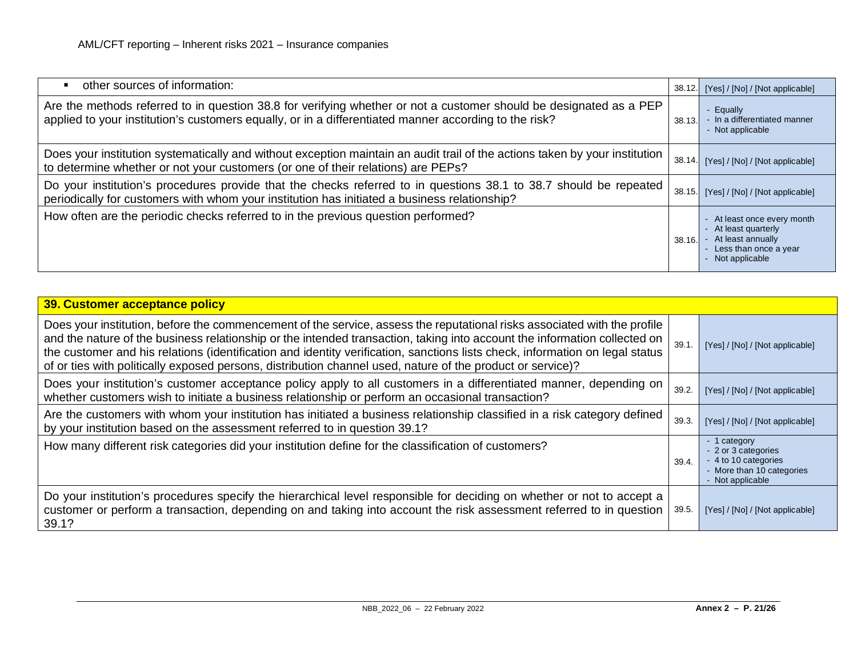| other sources of information:<br>$\blacksquare$                                                                                                                                                                             | 38.12. | [Yes] / [No] / [Not applicable]                                                                                           |
|-----------------------------------------------------------------------------------------------------------------------------------------------------------------------------------------------------------------------------|--------|---------------------------------------------------------------------------------------------------------------------------|
| Are the methods referred to in question 38.8 for verifying whether or not a customer should be designated as a PEP<br>applied to your institution's customers equally, or in a differentiated manner according to the risk? | 38.13. | - Equally<br>- In a differentiated manner<br>- Not applicable                                                             |
| Does your institution systematically and without exception maintain an audit trail of the actions taken by your institution<br>to determine whether or not your customers (or one of their relations) are PEPs?             | 38.14. | [Yes] / [No] / [Not applicable]                                                                                           |
| Do your institution's procedures provide that the checks referred to in questions 38.1 to 38.7 should be repeated<br>periodically for customers with whom your institution has initiated a business relationship?           | 38.15. | [Yes] / [No] / [Not applicable]                                                                                           |
| How often are the periodic checks referred to in the previous question performed?                                                                                                                                           | 38.16. | - At least once every month<br>- At least quarterly<br>- At least annually<br>- Less than once a year<br>- Not applicable |

| 39. Customer acceptance policy                                                                                                                                                                                                                                                                                                                                                                                                                                                                      |       |                                                                                                              |
|-----------------------------------------------------------------------------------------------------------------------------------------------------------------------------------------------------------------------------------------------------------------------------------------------------------------------------------------------------------------------------------------------------------------------------------------------------------------------------------------------------|-------|--------------------------------------------------------------------------------------------------------------|
| Does your institution, before the commencement of the service, assess the reputational risks associated with the profile<br>and the nature of the business relationship or the intended transaction, taking into account the information collected on<br>the customer and his relations (identification and identity verification, sanctions lists check, information on legal status<br>of or ties with politically exposed persons, distribution channel used, nature of the product or service)? | 39.1. | [Yes] / [No] / [Not applicable]                                                                              |
| Does your institution's customer acceptance policy apply to all customers in a differentiated manner, depending on<br>whether customers wish to initiate a business relationship or perform an occasional transaction?                                                                                                                                                                                                                                                                              | 39.2. | [Yes] / [No] / [Not applicable]                                                                              |
| Are the customers with whom your institution has initiated a business relationship classified in a risk category defined<br>by your institution based on the assessment referred to in question 39.1?                                                                                                                                                                                                                                                                                               | 39.3. | [Yes] / [No] / [Not applicable]                                                                              |
| How many different risk categories did your institution define for the classification of customers?                                                                                                                                                                                                                                                                                                                                                                                                 | 39.4. | - 1 category<br>- 2 or 3 categories<br>- 4 to 10 categories<br>- More than 10 categories<br>- Not applicable |
| Do your institution's procedures specify the hierarchical level responsible for deciding on whether or not to accept a<br>customer or perform a transaction, depending on and taking into account the risk assessment referred to in question<br>39.1?                                                                                                                                                                                                                                              | 39.5. | [Yes] / [No] / [Not applicable]                                                                              |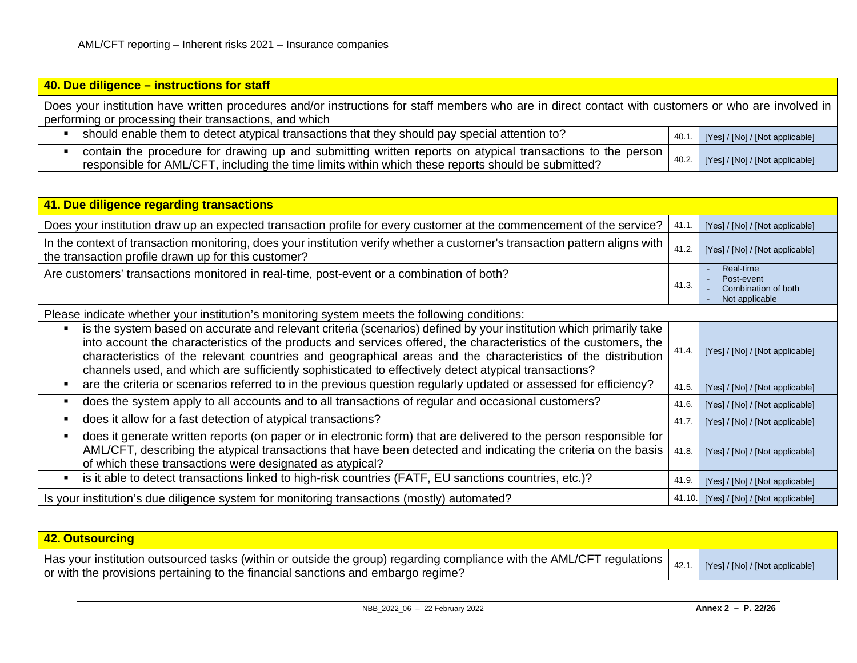## **40. Due diligence – instructions for staff** Does your institution have written procedures and/or instructions for staff members who are in direct contact with customers or who are involved in performing or processing their transactions, and which should enable them to detect atypical transactions that they should pay special attention to? 40.1. [Yes]/[No]/[Not applicable] contain the procedure for drawing up and submitting written reports on atypical transactions to the person responsible for AML/CFT, including the time limits within which these reports should be submitted?  $40.2$  [Yes]/[No]/[Not applicable]

| 41. Due diligence regarding transactions                                                                                                                                                                                                                                                                                                                                                                                                                       |       |                                                                  |
|----------------------------------------------------------------------------------------------------------------------------------------------------------------------------------------------------------------------------------------------------------------------------------------------------------------------------------------------------------------------------------------------------------------------------------------------------------------|-------|------------------------------------------------------------------|
| Does your institution draw up an expected transaction profile for every customer at the commencement of the service?                                                                                                                                                                                                                                                                                                                                           | 41.1. | [Yes] / [No] / [Not applicable]                                  |
| In the context of transaction monitoring, does your institution verify whether a customer's transaction pattern aligns with<br>the transaction profile drawn up for this customer?                                                                                                                                                                                                                                                                             | 41.2. | [Yes] / [No] / [Not applicable]                                  |
| Are customers' transactions monitored in real-time, post-event or a combination of both?                                                                                                                                                                                                                                                                                                                                                                       | 41.3. | Real-time<br>Post-event<br>Combination of both<br>Not applicable |
| Please indicate whether your institution's monitoring system meets the following conditions:                                                                                                                                                                                                                                                                                                                                                                   |       |                                                                  |
| is the system based on accurate and relevant criteria (scenarios) defined by your institution which primarily take<br>into account the characteristics of the products and services offered, the characteristics of the customers, the<br>characteristics of the relevant countries and geographical areas and the characteristics of the distribution<br>channels used, and which are sufficiently sophisticated to effectively detect atypical transactions? | 41.4. | [Yes] / [No] / [Not applicable]                                  |
| are the criteria or scenarios referred to in the previous question regularly updated or assessed for efficiency?                                                                                                                                                                                                                                                                                                                                               | 41.5. | [Yes] / [No] / [Not applicable]                                  |
| does the system apply to all accounts and to all transactions of regular and occasional customers?                                                                                                                                                                                                                                                                                                                                                             | 41.6. | [Yes] / [No] / [Not applicable]                                  |
| does it allow for a fast detection of atypical transactions?                                                                                                                                                                                                                                                                                                                                                                                                   | 41.7. | [Yes] / [No] / [Not applicable]                                  |
| does it generate written reports (on paper or in electronic form) that are delivered to the person responsible for<br>AML/CFT, describing the atypical transactions that have been detected and indicating the criteria on the basis<br>of which these transactions were designated as atypical?                                                                                                                                                               | 41.8. | [Yes] / [No] / [Not applicable]                                  |
| is it able to detect transactions linked to high-risk countries (FATF, EU sanctions countries, etc.)?                                                                                                                                                                                                                                                                                                                                                          | 41.9. | [Yes] / [No] / [Not applicable]                                  |
| Is your institution's due diligence system for monitoring transactions (mostly) automated?                                                                                                                                                                                                                                                                                                                                                                     |       | 41.10. [Yes] / [No] / [Not applicable]                           |

| 42. Outsourcing                                                                                                                                                                                             |      |                                 |
|-------------------------------------------------------------------------------------------------------------------------------------------------------------------------------------------------------------|------|---------------------------------|
| Has your institution outsourced tasks (within or outside the group) regarding compliance with the AML/CFT regulations  <br>or with the provisions pertaining to the financial sanctions and embargo regime? | 42.1 | [Yes] / [No] / [Not applicable] |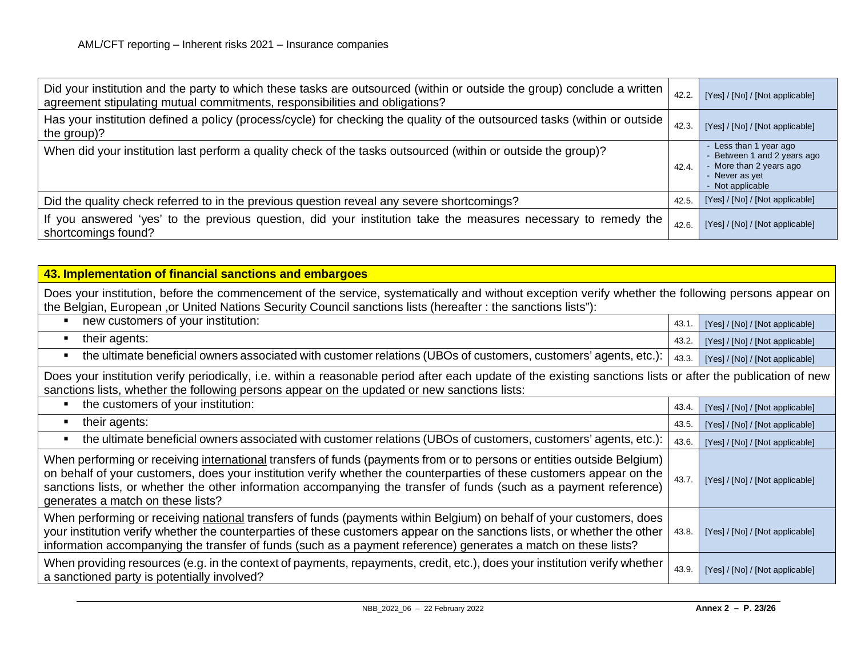| Did your institution and the party to which these tasks are outsourced (within or outside the group) conclude a written<br>agreement stipulating mutual commitments, responsibilities and obligations? | 42.2. | [Yes] / [No] / [Not applicable]                                                                                        |
|--------------------------------------------------------------------------------------------------------------------------------------------------------------------------------------------------------|-------|------------------------------------------------------------------------------------------------------------------------|
| Has your institution defined a policy (process/cycle) for checking the quality of the outsourced tasks (within or outside  <br>the group)?                                                             | 42.3. | [Yes] / [No] / [Not applicable]                                                                                        |
| When did your institution last perform a quality check of the tasks outsourced (within or outside the group)?                                                                                          | 42.4. | - Less than 1 year ago<br>- Between 1 and 2 years ago<br>- More than 2 years ago<br>- Never as yet<br>- Not applicable |
| Did the quality check referred to in the previous question reveal any severe shortcomings?                                                                                                             | 42.5  | [Yes] / [No] / [Not applicable]                                                                                        |
| If you answered 'yes' to the previous question, did your institution take the measures necessary to remedy the<br>shortcomings found?                                                                  | 42.6. | [Yes] / [No] / [Not applicable]                                                                                        |

| 43. Implementation of financial sanctions and embargoes                                                                                                                                                                                                                                                                                                                                                     |       |                                 |
|-------------------------------------------------------------------------------------------------------------------------------------------------------------------------------------------------------------------------------------------------------------------------------------------------------------------------------------------------------------------------------------------------------------|-------|---------------------------------|
| Does your institution, before the commencement of the service, systematically and without exception verify whether the following persons appear on<br>the Belgian, European , or United Nations Security Council sanctions lists (hereafter: the sanctions lists"):                                                                                                                                         |       |                                 |
| new customers of your institution:                                                                                                                                                                                                                                                                                                                                                                          | 43.1  | [Yes] / [No] / [Not applicable] |
| their agents:                                                                                                                                                                                                                                                                                                                                                                                               | 43.2. | [Yes] / [No] / [Not applicable] |
| the ultimate beneficial owners associated with customer relations (UBOs of customers, customers' agents, etc.):                                                                                                                                                                                                                                                                                             | 43.3. | [Yes] / [No] / [Not applicable] |
| Does your institution verify periodically, i.e. within a reasonable period after each update of the existing sanctions lists or after the publication of new<br>sanctions lists, whether the following persons appear on the updated or new sanctions lists:                                                                                                                                                |       |                                 |
| the customers of your institution:                                                                                                                                                                                                                                                                                                                                                                          | 43.4. | [Yes] / [No] / [Not applicable] |
| their agents:                                                                                                                                                                                                                                                                                                                                                                                               | 43.5. | [Yes] / [No] / [Not applicable] |
| the ultimate beneficial owners associated with customer relations (UBOs of customers, customers' agents, etc.):                                                                                                                                                                                                                                                                                             | 43.6. | [Yes] / [No] / [Not applicable] |
| When performing or receiving international transfers of funds (payments from or to persons or entities outside Belgium)<br>on behalf of your customers, does your institution verify whether the counterparties of these customers appear on the<br>sanctions lists, or whether the other information accompanying the transfer of funds (such as a payment reference)<br>generates a match on these lists? | 43.7. | [Yes] / [No] / [Not applicable] |
| When performing or receiving national transfers of funds (payments within Belgium) on behalf of your customers, does<br>your institution verify whether the counterparties of these customers appear on the sanctions lists, or whether the other<br>information accompanying the transfer of funds (such as a payment reference) generates a match on these lists?                                         | 43.8. | [Yes] / [No] / [Not applicable] |
| When providing resources (e.g. in the context of payments, repayments, credit, etc.), does your institution verify whether<br>a sanctioned party is potentially involved?                                                                                                                                                                                                                                   | 43.9  | [Yes] / [No] / [Not applicable] |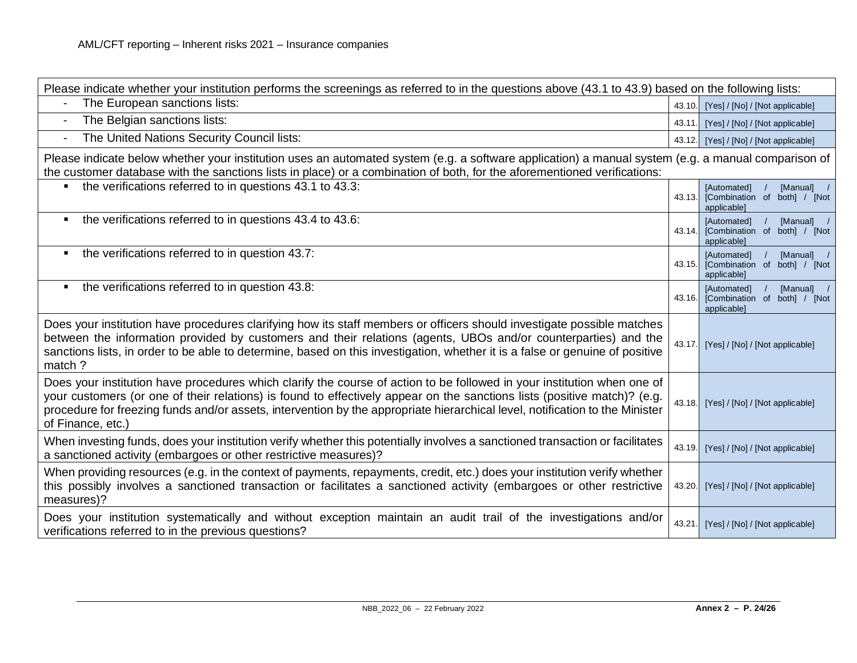| Please indicate whether your institution performs the screenings as referred to in the questions above (43.1 to 43.9) based on the following lists:                                                                                                                                                                                                                                                      |        |                                                                          |
|----------------------------------------------------------------------------------------------------------------------------------------------------------------------------------------------------------------------------------------------------------------------------------------------------------------------------------------------------------------------------------------------------------|--------|--------------------------------------------------------------------------|
| The European sanctions lists:                                                                                                                                                                                                                                                                                                                                                                            | 43.10. | [Yes] / [No] / [Not applicable]                                          |
| The Belgian sanctions lists:<br>$\blacksquare$                                                                                                                                                                                                                                                                                                                                                           | 43.11  | [Yes] / [No] / [Not applicable]                                          |
| The United Nations Security Council lists:                                                                                                                                                                                                                                                                                                                                                               | 43.12. | [Yes] / [No] / [Not applicable]                                          |
| Please indicate below whether your institution uses an automated system (e.g. a software application) a manual system (e.g. a manual comparison of<br>the customer database with the sanctions lists in place) or a combination of both, for the aforementioned verifications:                                                                                                                           |        |                                                                          |
| the verifications referred to in questions 43.1 to 43.3:                                                                                                                                                                                                                                                                                                                                                 | 43.13. | [Automated]<br>[Manual] /<br>[Combination of both] / [Not<br>applicable] |
| the verifications referred to in questions 43.4 to 43.6:                                                                                                                                                                                                                                                                                                                                                 | 43.14. | [Manual] /<br>[Automated]<br>[Combination of both] / [Not<br>applicable] |
| the verifications referred to in question 43.7:<br>$\blacksquare$                                                                                                                                                                                                                                                                                                                                        | 43.15. | [Automated]<br>[Manual] /<br>[Combination of both] / [Not<br>applicable] |
| the verifications referred to in question 43.8:<br>$\blacksquare$                                                                                                                                                                                                                                                                                                                                        | 43.16. | [Automated]<br>[Manual] /<br>[Combination of both] / [Not<br>applicable] |
| Does your institution have procedures clarifying how its staff members or officers should investigate possible matches<br>between the information provided by customers and their relations (agents, UBOs and/or counterparties) and the<br>sanctions lists, in order to be able to determine, based on this investigation, whether it is a false or genuine of positive<br>match?                       | 43.17. | [Yes] / [No] / [Not applicable]                                          |
| Does your institution have procedures which clarify the course of action to be followed in your institution when one of<br>your customers (or one of their relations) is found to effectively appear on the sanctions lists (positive match)? (e.g.<br>procedure for freezing funds and/or assets, intervention by the appropriate hierarchical level, notification to the Minister<br>of Finance, etc.) | 43.18. | [Yes] / [No] / [Not applicable]                                          |
| When investing funds, does your institution verify whether this potentially involves a sanctioned transaction or facilitates<br>a sanctioned activity (embargoes or other restrictive measures)?                                                                                                                                                                                                         | 43.19. | [Yes] / [No] / [Not applicable]                                          |
| When providing resources (e.g. in the context of payments, repayments, credit, etc.) does your institution verify whether<br>this possibly involves a sanctioned transaction or facilitates a sanctioned activity (embargoes or other restrictive<br>measures)?                                                                                                                                          | 43.20. | [Yes] / [No] / [Not applicable]                                          |
| Does your institution systematically and without exception maintain an audit trail of the investigations and/or<br>verifications referred to in the previous questions?                                                                                                                                                                                                                                  | 43.21. | [Yes] / [No] / [Not applicable]                                          |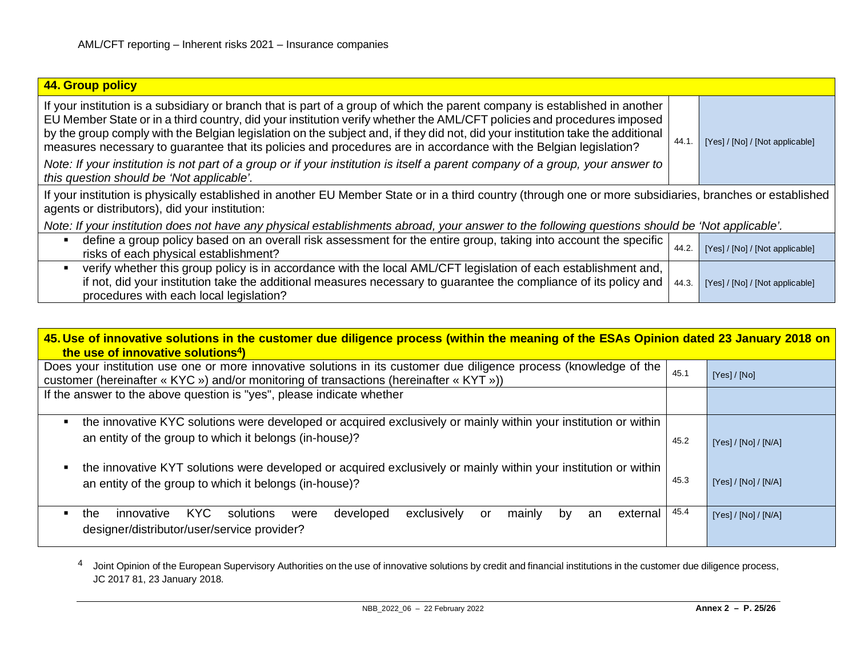<span id="page-24-0"></span>

| 44. Group policy                                                                                                                                                                                                                                                                                                                                                                                                                                                                                            |       |                                 |
|-------------------------------------------------------------------------------------------------------------------------------------------------------------------------------------------------------------------------------------------------------------------------------------------------------------------------------------------------------------------------------------------------------------------------------------------------------------------------------------------------------------|-------|---------------------------------|
| If your institution is a subsidiary or branch that is part of a group of which the parent company is established in another<br>EU Member State or in a third country, did your institution verify whether the AML/CFT policies and procedures imposed<br>by the group comply with the Belgian legislation on the subject and, if they did not, did your institution take the additional<br>measures necessary to guarantee that its policies and procedures are in accordance with the Belgian legislation? | 44.1  | [Yes] / [No] / [Not applicable] |
| Note: If your institution is not part of a group or if your institution is itself a parent company of a group, your answer to<br>this question should be 'Not applicable'.                                                                                                                                                                                                                                                                                                                                  |       |                                 |
| If your institution is physically established in another EU Member State or in a third country (through one or more subsidiaries, branches or established<br>agents or distributors), did your institution:                                                                                                                                                                                                                                                                                                 |       |                                 |
| Note: If your institution does not have any physical establishments abroad, your answer to the following questions should be 'Not applicable'.                                                                                                                                                                                                                                                                                                                                                              |       |                                 |
| define a group policy based on an overall risk assessment for the entire group, taking into account the specific<br>risks of each physical establishment?                                                                                                                                                                                                                                                                                                                                                   | 44.2. | [Yes] / [No] / [Not applicable] |
| verify whether this group policy is in accordance with the local AML/CFT legislation of each establishment and,<br>if not, did your institution take the additional measures necessary to guarantee the compliance of its policy and<br>procedures with each local legislation?                                                                                                                                                                                                                             | 44.3. | [Yes] / [No] / [Not applicable] |

| 45. Use of innovative solutions in the customer due diligence process (within the meaning of the ESAs Opinion dated 23 January 2018 on<br>the use of innovative solutions <sup>4</sup> )                      |      |                      |
|---------------------------------------------------------------------------------------------------------------------------------------------------------------------------------------------------------------|------|----------------------|
| Does your institution use one or more innovative solutions in its customer due diligence process (knowledge of the<br>customer (hereinafter « KYC ») and/or monitoring of transactions (hereinafter « KYT »)) | 45.1 | [Yes] / [No]         |
| If the answer to the above question is "yes", please indicate whether                                                                                                                                         |      |                      |
| the innovative KYC solutions were developed or acquired exclusively or mainly within your institution or within<br>٠                                                                                          |      |                      |
| an entity of the group to which it belongs (in-house)?                                                                                                                                                        | 45.2 | [Yes] / [No] / [N/A] |
| the innovative KYT solutions were developed or acquired exclusively or mainly within your institution or within<br>٠<br>an entity of the group to which it belongs (in-house)?                                | 45.3 | [Yes] / [No] / [N/A] |
| KYC.<br>developed<br>exclusively<br>innovative<br>solutions<br>mainly<br>external<br>the<br>were<br>or<br>bv<br>an<br>designer/distributor/user/service provider?                                             | 45.4 | [Yes] / [No] / [N/A] |

4 Joint Opinion of the European Supervisory Authorities on the use of innovative solutions by credit and financial institutions in the customer due diligence process, JC 2017 81, 23 January 2018.